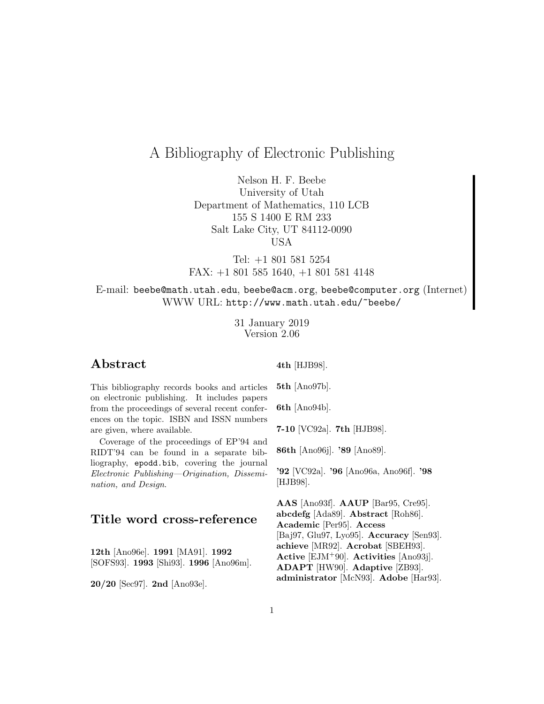# A Bibliography of Electronic Publishing

Nelson H. F. Beebe University of Utah Department of Mathematics, 110 LCB 155 S 1400 E RM 233 Salt Lake City, UT 84112-0090 USA

Tel: +1 801 581 5254 FAX: +1 801 585 1640, +1 801 581 4148

E-mail: beebe@math.utah.edu, beebe@acm.org, beebe@computer.org (Internet) WWW URL: http://www.math.utah.edu/~beebe/

> 31 January 2019 Version 2.06

# **Abstract**

**4th** [HJB98].

This bibliography records books and articles on electronic publishing. It includes papers from the proceedings of several recent conferences on the topic. ISBN and ISSN numbers are given, where available.

Coverage of the proceedings of EP'94 and RIDT'94 can be found in a separate bibliography, epodd.bib, covering the journal Electronic Publishing—Origination, Dissemination, and Design.

# **Title word cross-reference**

**12th** [Ano96e]. **1991** [MA91]. **1992** [SOFS93]. **1993** [Shi93]. **1996** [Ano96m].

**20/20** [Sec97]. **2nd** [Ano93e].

**5th** [Ano97b].

**6th** [Ano94b].

**7-10** [VC92a]. **7th** [HJB98].

**86th** [Ano96j]. **'89** [Ano89].

**'92** [VC92a]. **'96** [Ano96a, Ano96f]. **'98** [HJB98].

**AAS** [Ano93f]. **AAUP** [Bar95, Cre95]. **abcdefg** [Ada89]. **Abstract** [Roh86]. **Academic** [Per95]. **Access** [Baj97, Glu97, Lyo95]. **Accuracy** [Sen93]. **achieve** [MR92]. **Acrobat** [SBEH93]. **Active** [EJM<sup>+</sup>90]. **Activities** [Ano93j]. **ADAPT** [HW90]. **Adaptive** [ZB93]. **administrator** [McN93]. **Adobe** [Har93].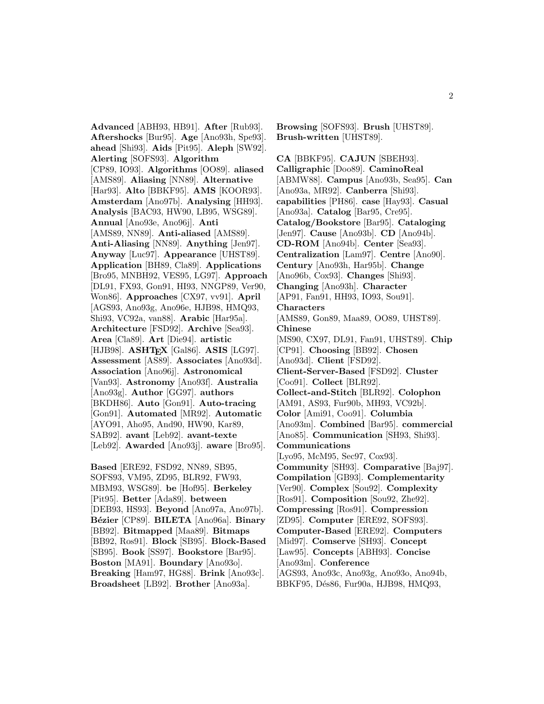**Advanced** [ABH93, HB91]. **After** [Rub93]. **Aftershocks** [Bur95]. **Age** [Ano93h, Spe93]. **ahead** [Shi93]. **Aids** [Pit95]. **Aleph** [SW92]. **Alerting** [SOFS93]. **Algorithm** [CP89, IO93]. **Algorithms** [OO89]. **aliased** [AMS89]. **Aliasing** [NN89]. **Alternative** [Har93]. **Alto** [BBKF95]. **AMS** [KOOR93]. **Amsterdam** [Ano97b]. **Analysing** [HH93]. **Analysis** [BAC93, HW90, LB95, WSG89]. **Annual** [Ano93e, Ano96j]. **Anti** [AMS89, NN89]. **Anti-aliased** [AMS89]. **Anti-Aliasing** [NN89]. **Anything** [Jen97]. **Anyway** [Luc97]. **Appearance** [UHST89]. **Application** [BH89, Cla89]. **Applications** [Bro95, MNBH92, VES95, LG97]. **Approach** [DL91, FX93, Gon91, HI93, NNGP89, Ver90, Won86]. **Approaches** [CX97, vv91]. **April** [AGS93, Ano93g, Ano96e, HJB98, HMQ93, Shi93, VC92a, van88]. **Arabic** [Har95a]. **Architecture** [FSD92]. **Archive** [Sea93]. **Area** [Cla89]. **Art** [Die94]. **artistic** [HJB98]. **ASHTEX** [Gal86]. **ASIS** [LG97]. **Assessment** [AS89]. **Associates** [Ano93d]. **Association** [Ano96j]. **Astronomical** [Van93]. **Astronomy** [Ano93f]. **Australia** [Ano93g]. **Author** [GG97]. **authors** [BKDH86]. **Auto** [Gon91]. **Auto-tracing** [Gon91]. **Automated** [MR92]. **Automatic** [AYO91, Aho95, And90, HW90, Kar89, SAB92]. **avant** [Leb92]. **avant-texte** [Leb92]. **Awarded** [Ano93j]. **aware** [Bro95].

**Based** [ERE92, FSD92, NN89, SB95, SOFS93, VM95, ZD95, BLR92, FW93, MBM93, WSG89]. **be** [Hof95]. **Berkeley** [Pit95]. **Better** [Ada89]. **between** [DEB93, HS93]. **Beyond** [Ano97a, Ano97b]. **B´ezier** [CP89]. **BILETA** [Ano96a]. **Binary** [BB92]. **Bitmapped** [Maa89]. **Bitmaps** [BB92, Ros91]. **Block** [SB95]. **Block-Based** [SB95]. **Book** [SS97]. **Bookstore** [Bar95]. **Boston** [MA91]. **Boundary** [Ano93o]. **Breaking** [Ham97, HG88]. **Brink** [Ano93c]. **Broadsheet** [LB92]. **Brother** [Ano93a].

**Browsing** [SOFS93]. **Brush** [UHST89]. **Brush-written** [UHST89].

**CA** [BBKF95]. **CAJUN** [SBEH93]. **Calligraphic** [Doo89]. **CaminoReal** [ABMW88]. **Campus** [Ano93b, Sea95]. **Can** [Ano93a, MR92]. **Canberra** [Shi93]. **capabilities** [PH86]. **case** [Hay93]. **Casual** [Ano93a]. **Catalog** [Bar95, Cre95]. **Catalog/Bookstore** [Bar95]. **Cataloging** [Jen97]. **Cause** [Ano93b]. **CD** [Ano94b]. **CD-ROM** [Ano94b]. **Center** [Sea93]. **Centralization** [Lam97]. **Centre** [Ano90]. **Century** [Ano93h, Har95b]. **Change** [Ano96b, Cox93]. **Changes** [Shi93]. **Changing** [Ano93h]. **Character** [AP91, Fan91, HH93, IO93, Sou91]. **Characters** [AMS89, Gon89, Maa89, OO89, UHST89]. **Chinese** [MS90, CX97, DL91, Fan91, UHST89]. **Chip** [CP91]. **Choosing** [BB92]. **Chosen** [Ano93d]. **Client** [FSD92]. **Client-Server-Based** [FSD92]. **Cluster** [Coo91]. **Collect** [BLR92]. **Collect-and-Stitch** [BLR92]. **Colophon** [AM91, AS93, Fur90b, MH93, VC92b]. **Color** [Ami91, Coo91]. **Columbia** [Ano93m]. **Combined** [Bar95]. **commercial** [Ano85]. **Communication** [SH93, Shi93]. **Communications** [Lyo95, McM95, Sec97, Cox93]. **Community** [SH93]. **Comparative** [Baj97]. **Compilation** [GB93]. **Complementarity** [Ver90]. **Complex** [Sou92]. **Complexity** [Ros91]. **Composition** [Sou92, Zhe92]. **Compressing** [Ros91]. **Compression** [ZD95]. **Computer** [ERE92, SOFS93]. **Computer-Based** [ERE92]. **Computers** [Mid97]. **Comserve** [SH93]. **Concept** [Law95]. **Concepts** [ABH93]. **Concise** [Ano93m]. **Conference** [AGS93, Ano93c, Ano93g, Ano93o, Ano94b, BBKF95, Dés86, Fur90a, HJB98, HMQ93,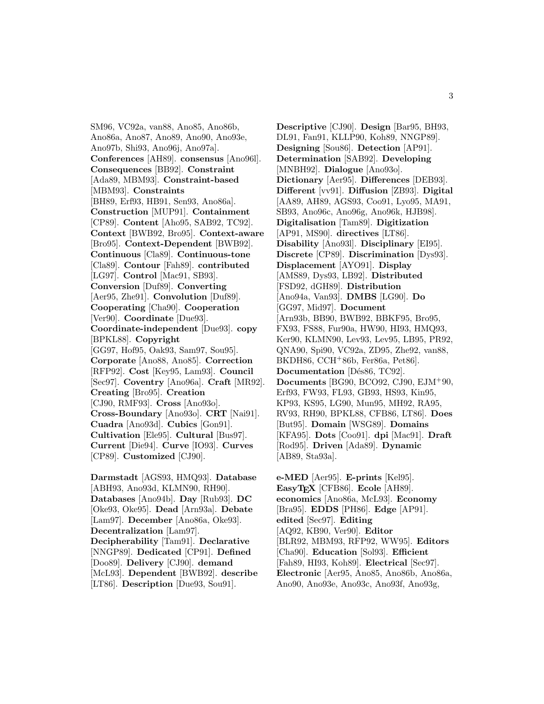SM96, VC92a, van88, Ano85, Ano86b, Ano86a, Ano87, Ano89, Ano90, Ano93e, Ano97b, Shi93, Ano96j, Ano97a]. **Conferences** [AH89]. **consensus** [Ano96l]. **Consequences** [BB92]. **Constraint** [Ada89, MBM93]. **Constraint-based** [MBM93]. **Constraints** [BH89, Erf93, HB91, Sen93, Ano86a]. **Construction** [MUP91]. **Containment** [CP89]. **Content** [Aho95, SAB92, TC92]. **Context** [BWB92, Bro95]. **Context-aware** [Bro95]. **Context-Dependent** [BWB92]. **Continuous** [Cla89]. **Continuous-tone** [Cla89]. **Contour** [Fah89]. **contributed** [LG97]. **Control** [Mac91, SB93]. **Conversion** [Duf89]. **Converting** [Aer95, Zhe91]. **Convolution** [Duf89]. **Cooperating** [Cha90]. **Cooperation** [Ver90]. **Coordinate** [Due93]. **Coordinate-independent** [Due93]. **copy** [BPKL88]. **Copyright** [GG97, Hof95, Oak93, Sam97, Sou95]. **Corporate** [Ano88, Ano85]. **Correction** [RFP92]. **Cost** [Key95, Lam93]. **Council** [Sec97]. **Coventry** [Ano96a]. **Craft** [MR92]. **Creating** [Bro95]. **Creation** [CJ90, RMF93]. **Cross** [Ano93o]. **Cross-Boundary** [Ano93o]. **CRT** [Nai91]. **Cuadra** [Ano93d]. **Cubics** [Gon91]. **Cultivation** [Ele95]. **Cultural** [Bus97]. **Current** [Die94]. **Curve** [IO93]. **Curves** [CP89]. **Customized** [CJ90].

**Darmstadt** [AGS93, HMQ93]. **Database** [ABH93, Ano93d, KLMN90, RH90]. **Databases** [Ano94b]. **Day** [Rub93]. **DC** [Oke93, Oke95]. **Dead** [Arn93a]. **Debate** [Lam97]. **December** [Ano86a, Oke93]. **Decentralization** [Lam97]. **Decipherability** [Tam91]. **Declarative** [NNGP89]. **Dedicated** [CP91]. **Defined** [Doo89]. **Delivery** [CJ90]. **demand** [McL93]. **Dependent** [BWB92]. **describe** [LT86]. **Description** [Due93, Sou91].

**Descriptive** [CJ90]. **Design** [Bar95, BH93, DL91, Fan91, KLLP90, Koh89, NNGP89]. **Designing** [Sou86]. **Detection** [AP91]. **Determination** [SAB92]. **Developing** [MNBH92]. **Dialogue** [Ano93o]. **Dictionary** [Aer95]. **Differences** [DEB93]. **Different** [vv91]. **Diffusion** [ZB93]. **Digital** [AA89, AH89, AGS93, Coo91, Lyo95, MA91, SB93, Ano96c, Ano96g, Ano96k, HJB98]. **Digitalisation** [Tam89]. **Digitization** [AP91, MS90]. **directives** [LT86]. **Disability** [Ano93l]. **Disciplinary** [EI95]. **Discrete** [CP89]. **Discrimination** [Dys93]. **Displacement** [AYO91]. **Display** [AMS89, Dys93, LB92]. **Distributed** [FSD92, dGH89]. **Distribution** [Ano94a, Van93]. **DMBS** [LG90]. **Do** [GG97, Mid97]. **Document** [Arn93b, BB90, BWB92, BBKF95, Bro95, FX93, FS88, Fur90a, HW90, HI93, HMQ93, Ker90, KLMN90, Lev93, Lev95, LB95, PR92, QNA90, Spi90, VC92a, ZD95, Zhe92, van88, BKDH86, CCH<sup>+</sup>86b, Fer86a, Pet86]. **Documentation** [Dés86, TC92]. **Documents** [BG90, BCO92, CJ90, EJM<sup>+</sup>90, Erf93, FW93, FL93, GB93, HS93, Kin95, KP93, KS95, LG90, Mun95, MH92, RA95, RV93, RH90, BPKL88, CFB86, LT86]. **Does** [But95]. **Domain** [WSG89]. **Domains** [KFA95]. **Dots** [Coo91]. **dpi** [Mac91]. **Draft** [Rod95]. **Driven** [Ada89]. **Dynamic** [AB89, Sta93a].

**e-MED** [Aer95]. **E-prints** [Kel95]. **EasyTEX** [CFB86]. **Ecole** [AH89]. **economics** [Ano86a, McL93]. **Economy** [Bra95]. **EDDS** [PH86]. **Edge** [AP91]. **edited** [Sec97]. **Editing** [AQ92, KB90, Ver90]. **Editor** [BLR92, MBM93, RFP92, WW95]. **Editors** [Cha90]. **Education** [Sol93]. **Efficient** [Fah89, HI93, Koh89]. **Electrical** [Sec97]. **Electronic** [Aer95, Ano85, Ano86b, Ano86a, Ano90, Ano93e, Ano93c, Ano93f, Ano93g,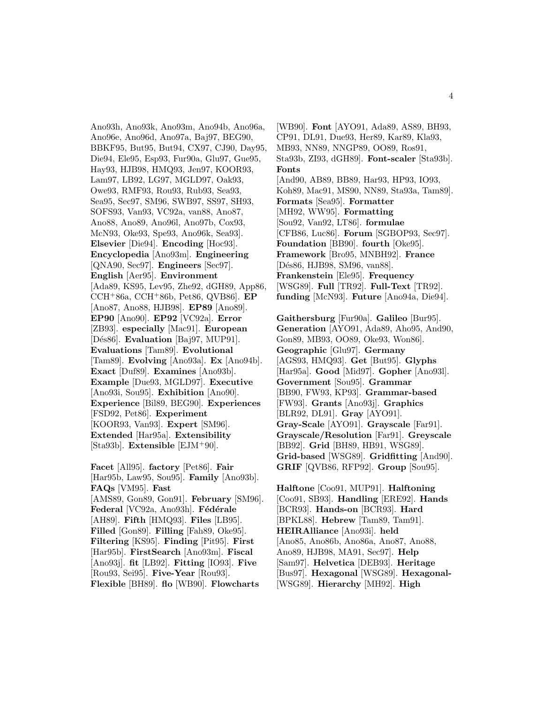Ano93h, Ano93k, Ano93m, Ano94b, Ano96a, Ano96e, Ano96d, Ano97a, Baj97, BEG90, BBKF95, But95, But94, CX97, CJ90, Day95, Die94, Ele95, Esp93, Fur90a, Glu97, Gue95, Hay93, HJB98, HMQ93, Jen97, KOOR93, Lam97, LB92, LG97, MGLD97, Oak93, Owe93, RMF93, Rou93, Rub93, Sea93, Sea95, Sec97, SM96, SWB97, SS97, SH93, SOFS93, Van93, VC92a, van88, Ano87, Ano88, Ano89, Ano96l, Ano97b, Cox93, McN93, Oke93, Spe93, Ano96k, Sea93]. **Elsevier** [Die94]. **Encoding** [Hoc93]. **Encyclopedia** [Ano93m]. **Engineering** [QNA90, Sec97]. **Engineers** [Sec97]. **English** [Aer95]. **Environment** [Ada89, KS95, Lev95, Zhe92, dGH89, App86, CCH<sup>+</sup>86a, CCH<sup>+</sup>86b, Pet86, QVB86]. **EP** [Ano87, Ano88, HJB98]. **EP89** [Ano89]. **EP90** [Ano90]. **EP92** [VC92a]. **Error** [ZB93]. **especially** [Mac91]. **European** [Dés86]. **Evaluation** [Baj97, MUP91]. **Evaluations** [Tam89]. **Evolutional** [Tam89]. **Evolving** [Ano93a]. **Ex** [Ano94b]. **Exact** [Duf89]. **Examines** [Ano93b]. **Example** [Due93, MGLD97]. **Executive** [Ano93i, Sou95]. **Exhibition** [Ano90]. **Experience** [Bil89, BEG90]. **Experiences** [FSD92, Pet86]. **Experiment** [KOOR93, Van93]. **Expert** [SM96]. **Extended** [Har95a]. **Extensibility** [Sta93b]. **Extensible** [EJM<sup>+</sup>90].

**Facet** [All95]. **factory** [Pet86]. **Fair** [Har95b, Law95, Sou95]. **Family** [Ano93b]. **FAQs** [VM95]. **Fast** [AMS89, Gon89, Gon91]. **February** [SM96]. Federal [VC92a, Ano93h]. **Fédérale** [AH89]. **Fifth** [HMQ93]. **Files** [LB95]. **Filled** [Gon89]. **Filling** [Fah89, Oke95]. **Filtering** [KS95]. **Finding** [Pit95]. **First** [Har95b]. **FirstSearch** [Ano93m]. **Fiscal** [Ano93j]. **fit** [LB92]. **Fitting** [IO93]. **Five** [Rou93, Sei95]. **Five-Year** [Rou93]. **Flexible** [BH89]. **flo** [WB90]. **Flowcharts**

[WB90]. **Font** [AYO91, Ada89, AS89, BH93, CP91, DL91, Due93, Her89, Kar89, Kla93, MB93, NN89, NNGP89, OO89, Ros91, Sta93b, ZI93, dGH89]. **Font-scaler** [Sta93b]. **Fonts** [And90, AB89, BB89, Har93, HP93, IO93, Koh89, Mac91, MS90, NN89, Sta93a, Tam89]. **Formats** [Sea95]. **Formatter** [MH92, WW95]. **Formatting** [Sou92, Van92, LT86]. **formulae** [CFB86, Luc86]. **Forum** [SGBOP93, Sec97]. **Foundation** [BB90]. **fourth** [Oke95]. **Framework** [Bro95, MNBH92]. **France** [Dés86, HJB98, SM96, van88]. **Frankenstein** [Ele95]. **Frequency** [WSG89]. **Full** [TR92]. **Full-Text** [TR92]. **funding** [McN93]. **Future** [Ano94a, Die94].

**Gaithersburg** [Fur90a]. **Galileo** [Bur95]. **Generation** [AYO91, Ada89, Aho95, And90, Gon89, MB93, OO89, Oke93, Won86]. **Geographic** [Glu97]. **Germany** [AGS93, HMQ93]. **Get** [But95]. **Glyphs** [Har95a]. **Good** [Mid97]. **Gopher** [Ano93l]. **Government** [Sou95]. **Grammar** [BB90, FW93, KP93]. **Grammar-based** [FW93]. **Grants** [Ano93j]. **Graphics** [BLR92, DL91]. **Gray** [AYO91]. **Gray-Scale** [AYO91]. **Grayscale** [Far91]. **Grayscale/Resolution** [Far91]. **Greyscale** [BB92]. **Grid** [BH89, HB91, WSG89]. **Grid-based** [WSG89]. **Gridfitting** [And90]. **GRIF** [QVB86, RFP92]. **Group** [Sou95].

**Halftone** [Coo91, MUP91]. **Halftoning** [Coo91, SB93]. **Handling** [ERE92]. **Hands** [BCR93]. **Hands-on** [BCR93]. **Hard** [BPKL88]. **Hebrew** [Tam89, Tam91]. **HEIRAlliance** [Ano93i]. **held** [Ano85, Ano86b, Ano86a, Ano87, Ano88, Ano89, HJB98, MA91, Sec97]. **Help** [Sam97]. **Helvetica** [DEB93]. **Heritage** [Bus97]. **Hexagonal** [WSG89]. **Hexagonal-** [WSG89]. **Hierarchy** [MH92]. **High**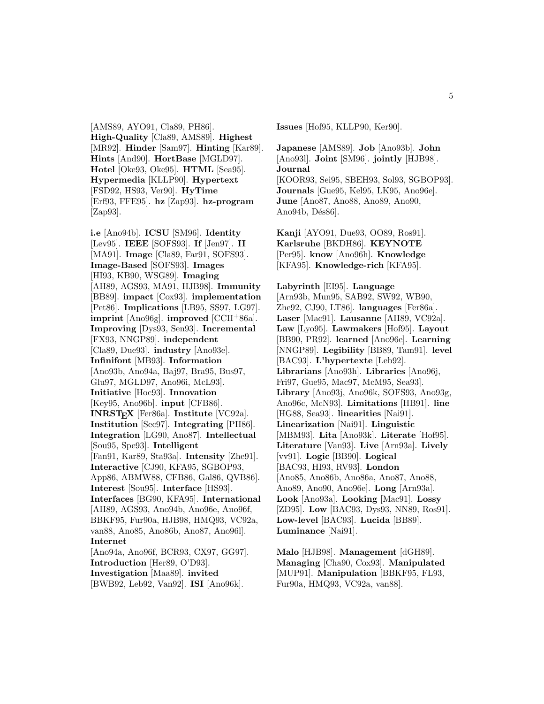[AMS89, AYO91, Cla89, PH86]. **High-Quality** [Cla89, AMS89]. **Highest** [MR92]. **Hinder** [Sam97]. **Hinting** [Kar89]. **Hints** [And90]. **HortBase** [MGLD97]. **Hotel** [Oke93, Oke95]. **HTML** [Sea95]. **Hypermedia** [KLLP90]. **Hypertext** [FSD92, HS93, Ver90]. **HyTime** [Erf93, FFE95]. **hz** [Zap93]. **hz-program** [Zap93].

**i.e** [Ano94b]. **ICSU** [SM96]. **Identity** [Lev95]. **IEEE** [SOFS93]. **If** [Jen97]. **II** [MA91]. **Image** [Cla89, Far91, SOFS93]. **Image-Based** [SOFS93]. **Images** [HI93, KB90, WSG89]. **Imaging** [AH89, AGS93, MA91, HJB98]. **Immunity** [BB89]. **impact** [Cox93]. **implementation** [Pet86]. **Implications** [LB95, SS97, LG97]. **imprint** [Ano96g]. **improved** [CCH<sup>+</sup>86a]. **Improving** [Dys93, Sen93]. **Incremental** [FX93, NNGP89]. **independent** [Cla89, Due93]. **industry** [Ano93e]. **Infinifont** [MB93]. **Information** [Ano93b, Ano94a, Baj97, Bra95, Bus97, Glu97, MGLD97, Ano96i, McL93]. **Initiative** [Hoc93]. **Innovation** [Key95, Ano96b]. **input** [CFB86]. **INRSTEX** [Fer86a]. **Institute** [VC92a]. **Institution** [Sec97]. **Integrating** [PH86]. **Integration** [LG90, Ano87]. **Intellectual** [Sou95, Spe93]. **Intelligent** [Fan91, Kar89, Sta93a]. **Intensity** [Zhe91]. **Interactive** [CJ90, KFA95, SGBOP93, App86, ABMW88, CFB86, Gal86, QVB86]. **Interest** [Sou95]. **Interface** [HS93]. **Interfaces** [BG90, KFA95]. **International** [AH89, AGS93, Ano94b, Ano96e, Ano96f, BBKF95, Fur90a, HJB98, HMQ93, VC92a, van88, Ano85, Ano86b, Ano87, Ano96l]. **Internet** [Ano94a, Ano96f, BCR93, CX97, GG97]. **Introduction** [Her89, O'D93].

**Investigation** [Maa89]. **invited** [BWB92, Leb92, Van92]. **ISI** [Ano96k]. **Issues** [Hof95, KLLP90, Ker90].

**Japanese** [AMS89]. **Job** [Ano93b]. **John** [Ano93l]. **Joint** [SM96]. **jointly** [HJB98]. **Journal** [KOOR93, Sei95, SBEH93, Sol93, SGBOP93]. **Journals** [Gue95, Kel95, LK95, Ano96e]. **June** [Ano87, Ano88, Ano89, Ano90, Ano94b, Dés86].

**Kanji** [AYO91, Due93, OO89, Ros91]. **Karlsruhe** [BKDH86]. **KEYNOTE** [Per95]. **know** [Ano96h]. **Knowledge** [KFA95]. **Knowledge-rich** [KFA95].

**Labyrinth** [EI95]. **Language** [Arn93b, Mun95, SAB92, SW92, WB90, Zhe92, CJ90, LT86]. **languages** [Fer86a]. **Laser** [Mac91]. **Lausanne** [AH89, VC92a]. **Law** [Lyo95]. **Lawmakers** [Hof95]. **Layout** [BB90, PR92]. **learned** [Ano96e]. **Learning** [NNGP89]. **Legibility** [BB89, Tam91]. **level** [BAC93]. **L'hypertexte** [Leb92]. **Librarians** [Ano93h]. **Libraries** [Ano96j, Fri97, Gue95, Mac97, McM95, Sea93]. **Library** [Ano93j, Ano96k, SOFS93, Ano93g, Ano96c, McN93]. **Limitations** [HB91]. **line** [HG88, Sea93]. **linearities** [Nai91]. **Linearization** [Nai91]. **Linguistic** [MBM93]. **Lita** [Ano93k]. **Literate** [Hof95]. **Literature** [Van93]. **Live** [Arn93a]. **Lively** [vv91]. **Logic** [BB90]. **Logical** [BAC93, HI93, RV93]. **London** [Ano85, Ano86b, Ano86a, Ano87, Ano88, Ano89, Ano90, Ano96e]. **Long** [Arn93a]. **Look** [Ano93a]. **Looking** [Mac91]. **Lossy** [ZD95]. **Low** [BAC93, Dys93, NN89, Ros91]. **Low-level** [BAC93]. **Lucida** [BB89]. **Luminance** [Nai91].

**Malo** [HJB98]. **Management** [dGH89]. **Managing** [Cha90, Cox93]. **Manipulated** [MUP91]. **Manipulation** [BBKF95, FL93, Fur90a, HMQ93, VC92a, van88].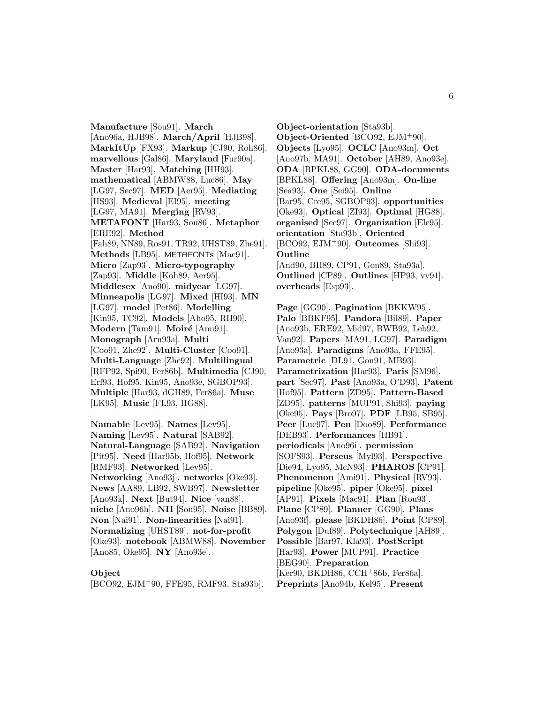**Manufacture** [Sou91]. **March** [Ano96a, HJB98]. **March/April** [HJB98]. **MarkItUp** [FX93]. **Markup** [CJ90, Roh86]. **marvellous** [Gal86]. **Maryland** [Fur90a]. **Master** [Har93]. **Matching** [HH93]. **mathematical** [ABMW88, Luc86]. **May** [LG97, Sec97]. **MED** [Aer95]. **Mediating** [HS93]. **Medieval** [EI95]. **meeting** [LG97, MA91]. **Merging** [RV93]. **METAFONT** [Har93, Sou86]. **Metaphor** [ERE92]. **Method** [Fah89, NN89, Ros91, TR92, UHST89, Zhe91]. **Methods** [LB95]. METAFONT**s** [Mac91]. **Micro** [Zap93]. **Micro-typography** [Zap93]. **Middle** [Koh89, Aer95]. **Middlesex** [Ano90]. **midyear** [LG97]. **Minneapolis** [LG97]. **Mixed** [HI93]. **MN** [LG97]. **model** [Pet86]. **Modelling** [Kin95, TC92]. **Models** [Aho95, RH90]. **Modern** [Tam91]. **Moiré** [Ami91]. **Monograph** [Arn93a]. **Multi** [Coo91, Zhe92]. **Multi-Cluster** [Coo91]. **Multi-Language** [Zhe92]. **Multilingual** [RFP92, Spi90, Fer86b]. **Multimedia** [CJ90, Erf93, Hof95, Kin95, Ano93e, SGBOP93]. **Multiple** [Har93, dGH89, Fer86a]. **Muse** [LK95]. **Music** [FL93, HG88].

**Namable** [Lev95]. **Names** [Lev95]. **Naming** [Lev95]. **Natural** [SAB92]. **Natural-Language** [SAB92]. **Navigation** [Pit95]. **Need** [Har95b, Hof95]. **Network** [RMF93]. **Networked** [Lev95]. **Networking** [Ano93j]. **networks** [Oke93]. **News** [AA89, LB92, SWB97]. **Newsletter** [Ano93k]. **Next** [But94]. **Nice** [van88]. **niche** [Ano96h]. **NII** [Sou95]. **Noise** [BB89]. **Non** [Nai91]. **Non-linearities** [Nai91]. **Normalizing** [UHST89]. **not-for-profit** [Oke93]. **notebook** [ABMW88]. **November** [Ano85, Oke95]. **NY** [Ano93e].

### **Object**

[BCO92, EJM<sup>+</sup>90, FFE95, RMF93, Sta93b].

**Object-orientation** [Sta93b]. **Object-Oriented** [BCO92, EJM<sup>+</sup>90]. **Objects** [Lyo95]. **OCLC** [Ano93m]. **Oct** [Ano97b, MA91]. **October** [AH89, Ano93e]. **ODA** [BPKL88, GG90]. **ODA-documents** [BPKL88]. **Offering** [Ano93m]. **On-line** [Sea93]. **One** [Sei95]. **Online** [Bar95, Cre95, SGBOP93]. **opportunities** [Oke93]. **Optical** [ZI93]. **Optimal** [HG88]. **organised** [Sec97]. **Organization** [Ele95]. **orientation** [Sta93b]. **Oriented** [BCO92, EJM<sup>+</sup>90]. **Outcomes** [Shi93]. **Outline** [And90, BH89, CP91, Gon89, Sta93a]. **Outlined** [CP89]. **Outlines** [HP93, vv91]. **overheads** [Esp93].

**Page** [GG90]. **Pagination** [BKKW95]. **Palo** [BBKF95]. **Pandora** [Bil89]. **Paper** [Ano93b, ERE92, Mid97, BWB92, Leb92, Van92]. **Papers** [MA91, LG97]. **Paradigm** [Ano93a]. **Paradigms** [Ano93a, FFE95]. **Parametric** [DL91, Gon91, MB93]. **Parametrization** [Har93]. **Paris** [SM96]. **part** [Sec97]. **Past** [Ano93a, O'D93]. **Patent** [Hof95]. **Pattern** [ZD95]. **Pattern-Based** [ZD95]. **patterns** [MUP91, Shi93]. **paying** [Oke95]. **Pays** [Bro97]. **PDF** [LB95, SB95]. **Peer** [Luc97]. **Pen** [Doo89]. **Performance** [DEB93]. **Performances** [HB91]. **periodicals** [Ano96i]. **permission** [SOFS93]. **Perseus** [Myl93]. **Perspective** [Die94, Lyo95, McN93]. **PHAROS** [CP91]. **Phenomenon** [Ami91]. **Physical** [RV93]. **pipeline** [Oke95]. **piper** [Oke95]. **pixel** [AP91]. **Pixels** [Mac91]. **Plan** [Rou93]. **Plane** [CP89]. **Planner** [GG90]. **Plans** [Ano93f]. **please** [BKDH86]. **Point** [CP89]. **Polygon** [Duf89]. **Polytechnique** [AH89]. **Possible** [Bar97, Kla93]. **PostScript** [Har93]. **Power** [MUP91]. **Practice** [BEG90]. **Preparation** [Ker90, BKDH86, CCH<sup>+</sup>86b, Fer86a]. **Preprints** [Ano94b, Kel95]. **Present**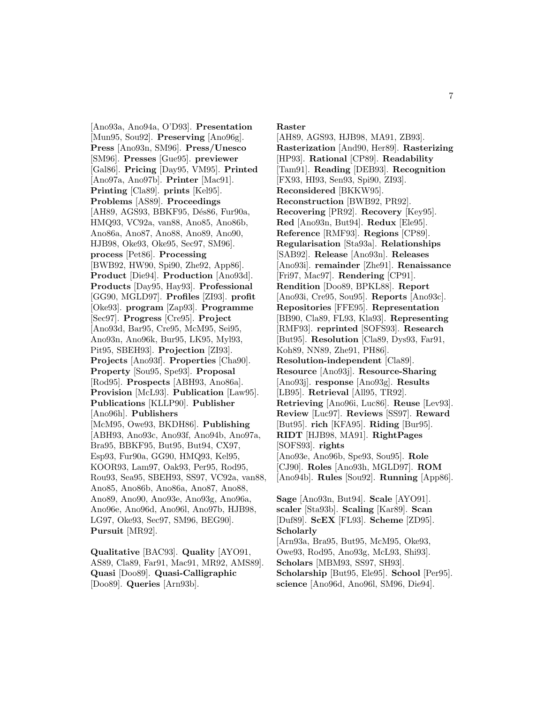[Ano93a, Ano94a, O'D93]. **Presentation** [Mun95, Sou92]. **Preserving** [Ano96g]. **Press** [Ano93n, SM96]. **Press/Unesco** [SM96]. **Presses** [Gue95]. **previewer** [Gal86]. **Pricing** [Day95, VM95]. **Printed** [Ano97a, Ano97b]. **Printer** [Mac91]. **Printing** [Cla89]. **prints** [Kel95]. **Problems** [AS89]. **Proceedings** [AH89, AGS93, BBKF95, Dés86, Fur90a, HMQ93, VC92a, van88, Ano85, Ano86b, Ano86a, Ano87, Ano88, Ano89, Ano90, HJB98, Oke93, Oke95, Sec97, SM96]. **process** [Pet86]. **Processing** [BWB92, HW90, Spi90, Zhe92, App86]. **Product** [Die94]. **Production** [Ano93d]. **Products** [Day95, Hay93]. **Professional** [GG90, MGLD97]. **Profiles** [ZI93]. **profit** [Oke93]. **program** [Zap93]. **Programme** [Sec97]. **Progress** [Cre95]. **Project** [Ano93d, Bar95, Cre95, McM95, Sei95, Ano93n, Ano96k, Bur95, LK95, Myl93, Pit95, SBEH93]. **Projection** [ZI93]. **Projects** [Ano93f]. **Properties** [Cha90]. **Property** [Sou95, Spe93]. **Proposal** [Rod95]. **Prospects** [ABH93, Ano86a]. **Provision** [McL93]. **Publication** [Law95]. **Publications** [KLLP90]. **Publisher** [Ano96h]. **Publishers** [McM95, Owe93, BKDH86]. **Publishing** [ABH93, Ano93c, Ano93f, Ano94b, Ano97a, Bra95, BBKF95, But95, But94, CX97, Esp93, Fur90a, GG90, HMQ93, Kel95, KOOR93, Lam97, Oak93, Per95, Rod95, Rou93, Sea95, SBEH93, SS97, VC92a, van88, Ano85, Ano86b, Ano86a, Ano87, Ano88, Ano89, Ano90, Ano93e, Ano93g, Ano96a, Ano96e, Ano96d, Ano96l, Ano97b, HJB98, LG97, Oke93, Sec97, SM96, BEG90]. **Pursuit** [MR92].

**Qualitative** [BAC93]. **Quality** [AYO91, AS89, Cla89, Far91, Mac91, MR92, AMS89]. **Quasi** [Doo89]. **Quasi-Calligraphic** [Doo89]. **Queries** [Arn93b].

**Raster**

[AH89, AGS93, HJB98, MA91, ZB93]. **Rasterization** [And90, Her89]. **Rasterizing** [HP93]. **Rational** [CP89]. **Readability** [Tam91]. **Reading** [DEB93]. **Recognition** [FX93, HI93, Sen93, Spi90, ZI93]. **Reconsidered** [BKKW95]. **Reconstruction** [BWB92, PR92]. **Recovering** [PR92]. **Recovery** [Key95]. **Red** [Ano93n, But94]. **Redux** [Ele95]. **Reference** [RMF93]. **Regions** [CP89]. **Regularisation** [Sta93a]. **Relationships** [SAB92]. **Release** [Ano93n]. **Releases** [Ano93i]. **remainder** [Zhe91]. **Renaissance** [Fri97, Mac97]. **Rendering** [CP91]. **Rendition** [Doo89, BPKL88]. **Report** [Ano93i, Cre95, Sou95]. **Reports** [Ano93c]. **Repositories** [FFE95]. **Representation** [BB90, Cla89, FL93, Kla93]. **Representing** [RMF93]. **reprinted** [SOFS93]. **Research** [But95]. **Resolution** [Cla89, Dys93, Far91, Koh89, NN89, Zhe91, PH86]. **Resolution-independent** [Cla89]. **Resource** [Ano93j]. **Resource-Sharing** [Ano93j]. **response** [Ano93g]. **Results** [LB95]. **Retrieval** [All95, TR92]. **Retrieving** [Ano96i, Luc86]. **Reuse** [Lev93]. **Review** [Luc97]. **Reviews** [SS97]. **Reward** [But95]. **rich** [KFA95]. **Riding** [Bur95]. **RIDT** [HJB98, MA91]. **RightPages** [SOFS93]. **rights** [Ano93e, Ano96b, Spe93, Sou95]. **Role** [CJ90]. **Roles** [Ano93h, MGLD97]. **ROM** [Ano94b]. **Rules** [Sou92]. **Running** [App86].

**Sage** [Ano93n, But94]. **Scale** [AYO91]. **scaler** [Sta93b]. **Scaling** [Kar89]. **Scan** [Duf89]. **ScEX** [FL93]. **Scheme** [ZD95]. **Scholarly** [Arn93a, Bra95, But95, McM95, Oke93, Owe93, Rod95, Ano93g, McL93, Shi93]. **Scholars** [MBM93, SS97, SH93]. **Scholarship** [But95, Ele95]. **School** [Per95]. **science** [Ano96d, Ano96l, SM96, Die94].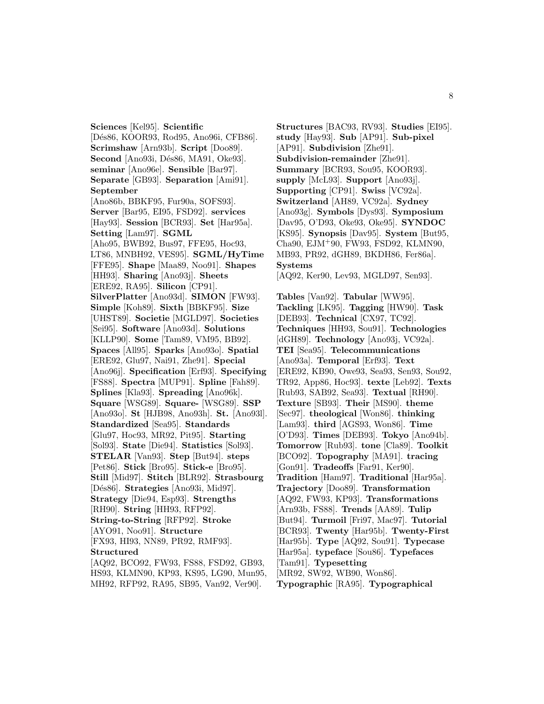**Sciences** [Kel95]. **Scientific** [Dés86, KOOR93, Rod95, Ano96i, CFB86]. **Scrimshaw** [Arn93b]. **Script** [Doo89]. **Second** [Ano93i, Dés86, MA91, Oke93]. **seminar** [Ano96e]. **Sensible** [Bar97]. **Separate** [GB93]. **Separation** [Ami91]. **September** [Ano86b, BBKF95, Fur90a, SOFS93]. **Server** [Bar95, EI95, FSD92]. **services** [Hay93]. **Session** [BCR93]. **Set** [Har95a]. **Setting** [Lam97]. **SGML** [Aho95, BWB92, Bus97, FFE95, Hoc93, LT86, MNBH92, VES95]. **SGML/HyTime** [FFE95]. **Shape** [Maa89, Noo91]. **Shapes** [HH93]. **Sharing** [Ano93j]. **Sheets** [ERE92, RA95]. **Silicon** [CP91]. **SilverPlatter** [Ano93d]. **SIMON** [FW93]. **Simple** [Koh89]. **Sixth** [BBKF95]. **Size** [UHST89]. **Societie** [MGLD97]. **Societies** [Sei95]. **Software** [Ano93d]. **Solutions** [KLLP90]. **Some** [Tam89, VM95, BB92]. **Spaces** [All95]. **Sparks** [Ano93o]. **Spatial** [ERE92, Glu97, Nai91, Zhe91]. **Special** [Ano96j]. **Specification** [Erf93]. **Specifying** [FS88]. **Spectra** [MUP91]. **Spline** [Fah89]. **Splines** [Kla93]. **Spreading** [Ano96k]. **Square** [WSG89]. **Square-** [WSG89]. **SSP** [Ano93o]. **St** [HJB98, Ano93h]. **St.** [Ano93l]. **Standardized** [Sea95]. **Standards** [Glu97, Hoc93, MR92, Pit95]. **Starting** [Sol93]. **State** [Die94]. **Statistics** [Sol93]. **STELAR** [Van93]. **Step** [But94]. **steps** [Pet86]. **Stick** [Bro95]. **Stick-e** [Bro95]. **Still** [Mid97]. **Stitch** [BLR92]. **Strasbourg** [D´es86]. **Strategies** [Ano93i, Mid97]. **Strategy** [Die94, Esp93]. **Strengths** [RH90]. **String** [HH93, RFP92]. **String-to-String** [RFP92]. **Stroke** [AYO91, Noo91]. **Structure** [FX93, HI93, NN89, PR92, RMF93]. **Structured** [AQ92, BCO92, FW93, FS88, FSD92, GB93,

HS93, KLMN90, KP93, KS95, LG90, Mun95, MH92, RFP92, RA95, SB95, Van92, Ver90].

**Structures** [BAC93, RV93]. **Studies** [EI95]. **study** [Hay93]. **Sub** [AP91]. **Sub-pixel** [AP91]. **Subdivision** [Zhe91]. **Subdivision-remainder** [Zhe91]. **Summary** [BCR93, Sou95, KOOR93]. **supply** [McL93]. **Support** [Ano93j]. **Supporting** [CP91]. **Swiss** [VC92a]. **Switzerland** [AH89, VC92a]. **Sydney** [Ano93g]. **Symbols** [Dys93]. **Symposium** [Dav95, O'D93, Oke93, Oke95]. **SYNDOC** [KS95]. **Synopsis** [Dav95]. **System** [But95, Cha90, EJM<sup>+</sup>90, FW93, FSD92, KLMN90, MB93, PR92, dGH89, BKDH86, Fer86a]. **Systems**

[AQ92, Ker90, Lev93, MGLD97, Sen93].

**Tables** [Van92]. **Tabular** [WW95]. **Tackling** [LK95]. **Tagging** [HW90]. **Task** [DEB93]. **Technical** [CX97, TC92]. **Techniques** [HH93, Sou91]. **Technologies** [dGH89]. **Technology** [Ano93j, VC92a]. **TEI** [Sea95]. **Telecommunications** [Ano93a]. **Temporal** [Erf93]. **Text** [ERE92, KB90, Owe93, Sea93, Sen93, Sou92, TR92, App86, Hoc93]. **texte** [Leb92]. **Texts** [Rub93, SAB92, Sea93]. **Textual** [RH90]. **Texture** [SB93]. **Their** [MS90]. **theme** [Sec97]. **theological** [Won86]. **thinking** [Lam93]. **third** [AGS93, Won86]. **Time** [O'D93]. **Times** [DEB93]. **Tokyo** [Ano94b]. **Tomorrow** [Rub93]. **tone** [Cla89]. **Toolkit** [BCO92]. **Topography** [MA91]. **tracing** [Gon91]. **Tradeoffs** [Far91, Ker90]. **Tradition** [Ham97]. **Traditional** [Har95a]. **Trajectory** [Doo89]. **Transformation** [AQ92, FW93, KP93]. **Transformations** [Arn93b, FS88]. **Trends** [AA89]. **Tulip** [But94]. **Turmoil** [Fri97, Mac97]. **Tutorial** [BCR93]. **Twenty** [Har95b]. **Twenty-First** [Har95b]. **Type** [AQ92, Sou91]. **Typecase** [Har95a]. **typeface** [Sou86]. **Typefaces** [Tam91]. **Typesetting** [MR92, SW92, WB90, Won86].

**Typographic** [RA95]. **Typographical**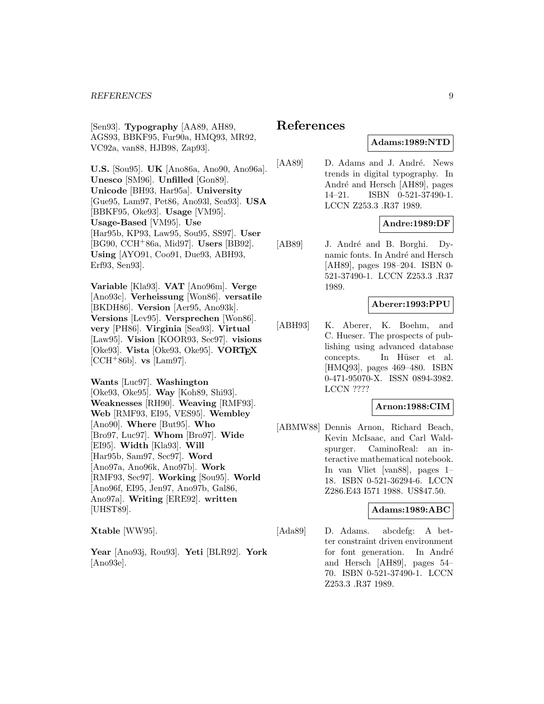[Sen93]. **Typography** [AA89, AH89, AGS93, BBKF95, Fur90a, HMQ93, MR92, VC92a, van88, HJB98, Zap93].

**U.S.** [Sou95]. **UK** [Ano86a, Ano90, Ano96a]. **Unesco** [SM96]. **Unfilled** [Gon89]. **Unicode** [BH93, Har95a]. **University** [Gue95, Lam97, Pet86, Ano93l, Sea93]. **USA** [BBKF95, Oke93]. **Usage** [VM95]. **Usage-Based** [VM95]. **Use** [Har95b, KP93, Law95, Sou95, SS97]. **User** [BG90, CCH<sup>+</sup>86a, Mid97]. **Users** [BB92]. **Using** [AYO91, Coo91, Due93, ABH93, Erf93, Sen93].

**Variable** [Kla93]. **VAT** [Ano96m]. **Verge** [Ano93c]. **Verheissung** [Won86]. **versatile** [BKDH86]. **Version** [Aer95, Ano93k]. **Versions** [Lev95]. **Versprechen** [Won86]. **very** [PH86]. **Virginia** [Sea93]. **Virtual** [Law95]. **Vision** [KOOR93, Sec97]. **visions** [Oke93]. **Vista** [Oke93, Oke95]. **VORTEX** [CCH<sup>+</sup>86b]. **vs** [Lam97].

**Wants** [Luc97]. **Washington** [Oke93, Oke95]. **Way** [Koh89, Shi93]. **Weaknesses** [RH90]. **Weaving** [RMF93]. **Web** [RMF93, EI95, VES95]. **Wembley** [Ano90]. **Where** [But95]. **Who** [Bro97, Luc97]. **Whom** [Bro97]. **Wide** [EI95]. **Width** [Kla93]. **Will** [Har95b, Sam97, Sec97]. **Word** [Ano97a, Ano96k, Ano97b]. **Work** [RMF93, Sec97]. **Working** [Sou95]. **World** [Ano96f, EI95, Jen97, Ano97b, Gal86, Ano97a]. **Writing** [ERE92]. **written** [UHST89].

**Xtable** [WW95].

**Year** [Ano93j, Rou93]. **Yeti** [BLR92]. **York** [Ano93e].

# **References**

## **Adams:1989:NTD**

[AA89] D. Adams and J. André. News trends in digital typography. In André and Hersch [AH89], pages 14–21. ISBN 0-521-37490-1. LCCN Z253.3 .R37 1989.

### **Andre:1989:DF**

[AB89] J. André and B. Borghi. Dynamic fonts. In André and Hersch [AH89], pages 198–204. ISBN 0- 521-37490-1. LCCN Z253.3 .R37 1989.

### **Aberer:1993:PPU**

[ABH93] K. Aberer, K. Boehm, and C. Hueser. The prospects of publishing using advanced database concepts. In Hüser et al. [HMQ93], pages 469–480. ISBN 0-471-95070-X. ISSN 0894-3982. LCCN ????

### **Arnon:1988:CIM**

[ABMW88] Dennis Arnon, Richard Beach, Kevin McIsaac, and Carl Waldspurger. CaminoReal: an interactive mathematical notebook. In van Vliet [van88], pages 1– 18. ISBN 0-521-36294-6. LCCN Z286.E43 I571 1988. US\$47.50.

### **Adams:1989:ABC**

[Ada89] D. Adams. abcdefg: A better constraint driven environment for font generation. In André and Hersch [AH89], pages 54– 70. ISBN 0-521-37490-1. LCCN Z253.3 .R37 1989.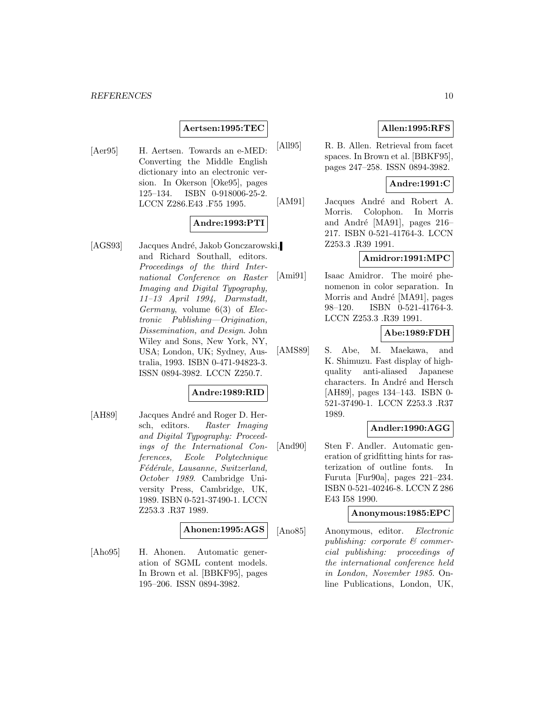### **Aertsen:1995:TEC**

[Aer95] H. Aertsen. Towards an e-MED: Converting the Middle English dictionary into an electronic version. In Okerson [Oke95], pages 125–134. ISBN 0-918006-25-2. LCCN Z286.E43 .F55 1995.

## **Andre:1993:PTI**

[AGS93] Jacques André, Jakob Gonczarowski, and Richard Southall, editors. Proceedings of the third International Conference on Raster Imaging and Digital Typography, 11–13 April 1994, Darmstadt, Germany, volume 6(3) of Electronic Publishing—Origination, Dissemination, and Design. John Wiley and Sons, New York, NY, USA; London, UK; Sydney, Australia, 1993. ISBN 0-471-94823-3. ISSN 0894-3982. LCCN Z250.7.

### **Andre:1989:RID**

[AH89] Jacques André and Roger D. Hersch, editors. Raster Imaging and Digital Typography: Proceedings of the International Conferences, Ecole Polytechnique Fédérale, Lausanne, Switzerland, October 1989. Cambridge University Press, Cambridge, UK, 1989. ISBN 0-521-37490-1. LCCN Z253.3 .R37 1989.

#### **Ahonen:1995:AGS**

[Aho95] H. Ahonen. Automatic generation of SGML content models. In Brown et al. [BBKF95], pages 195–206. ISSN 0894-3982.

# **Allen:1995:RFS**

[All95] R. B. Allen. Retrieval from facet spaces. In Brown et al. [BBKF95], pages 247–258. ISSN 0894-3982.

### **Andre:1991:C**

[AM91] Jacques André and Robert A. Morris. Colophon. In Morris and André [MA91], pages  $216$ – 217. ISBN 0-521-41764-3. LCCN Z253.3 .R39 1991.

### **Amidror:1991:MPC**

[Ami91] Isaac Amidror. The moiré phenomenon in color separation. In Morris and André [MA91], pages 98–120. ISBN 0-521-41764-3. LCCN Z253.3 .R39 1991.

# **Abe:1989:FDH**

[AMS89] S. Abe, M. Maekawa, and K. Shimuzu. Fast display of highquality anti-aliased Japanese characters. In André and Hersch [AH89], pages 134–143. ISBN 0- 521-37490-1. LCCN Z253.3 .R37 1989.

### **Andler:1990:AGG**

[And90] Sten F. Andler. Automatic generation of gridfitting hints for rasterization of outline fonts. In Furuta [Fur90a], pages 221–234. ISBN 0-521-40246-8. LCCN Z 286 E43 I58 1990.

### **Anonymous:1985:EPC**

[Ano85] Anonymous, editor. Electronic publishing: corporate & commercial publishing: proceedings of the international conference held in London, November 1985. Online Publications, London, UK,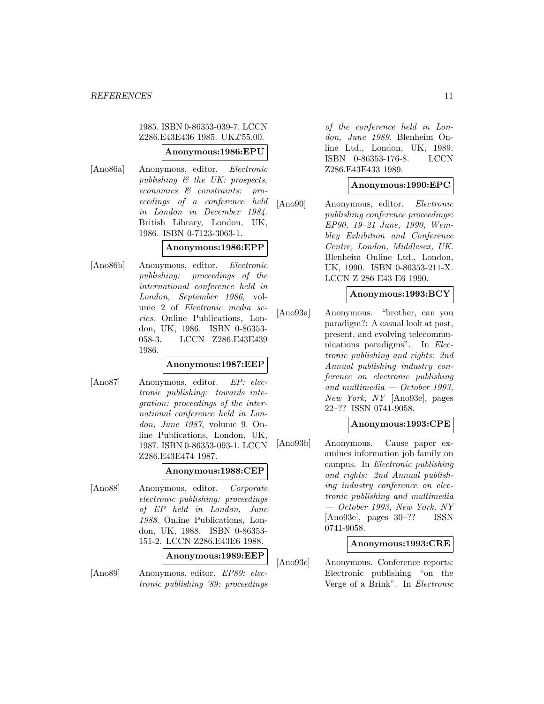1985. ISBN 0-86353-039-7. LCCN Z286.E43E436 1985. UK£55.00.

# **Anonymous:1986:EPU**

[Ano86a] Anonymous, editor. Electronic publishing & the UK: prospects, economics & constraints: proceedings of a conference held in London in December 1984. British Library, London, UK, 1986. ISBN 0-7123-3063-1.

### **Anonymous:1986:EPP**

[Ano86b] Anonymous, editor. Electronic publishing: proceedings of the international conference held in London, September 1986, volume 2 of Electronic media series. Online Publications, London, UK, 1986. ISBN 0-86353- 058-3. LCCN Z286.E43E439 1986.

#### **Anonymous:1987:EEP**

[Ano87] Anonymous, editor. EP: electronic publishing: towards integration: proceedings of the international conference held in London, June 1987, volume 9. Online Publications, London, UK, 1987. ISBN 0-86353-093-1. LCCN Z286.E43E474 1987.

#### **Anonymous:1988:CEP**

[Ano88] Anonymous, editor. Corporate electronic publishing: proceedings of EP held in London, June 1988. Online Publications, London, UK, 1988. ISBN 0-86353- 151-2. LCCN Z286.E43E6 1988.

**Anonymous:1989:EEP**

[Ano89] Anonymous, editor. EP89: electronic publishing '89: proceedings of the conference held in London, June 1989. Blenheim Online Ltd., London, UK, 1989. ISBN 0-86353-176-8. LCCN Z286.E43E433 1989.

### **Anonymous:1990:EPC**

[Ano90] Anonymous, editor. Electronic publishing conference proceedings: EP90, 19–21 June, 1990, Wembley Exhibition and Conference Centre, London, Middlesex, UK. Blenheim Online Ltd., London, UK, 1990. ISBN 0-86353-211-X. LCCN Z 286 E43 E6 1990.

## **Anonymous:1993:BCY**

[Ano93a] Anonymous. "brother, can you paradigm?: A casual look at past, present, and evolving telecommunications paradigms". In Electronic publishing and rights: 2nd Annual publishing industry conference on electronic publishing and multimedia  $-$  October 1993, New York, NY [Ano93e], pages 22–?? ISSN 0741-9058.

### **Anonymous:1993:CPE**

[Ano93b] Anonymous. Cause paper examines information job family on campus. In Electronic publishing and rights: 2nd Annual publishing industry conference on electronic publishing and multimedia — October 1993, New York, NY [Ano93e], pages 30–?? ISSN 0741-9058.

#### **Anonymous:1993:CRE**

[Ano93c] Anonymous. Conference reports: Electronic publishing "on the Verge of a Brink". In Electronic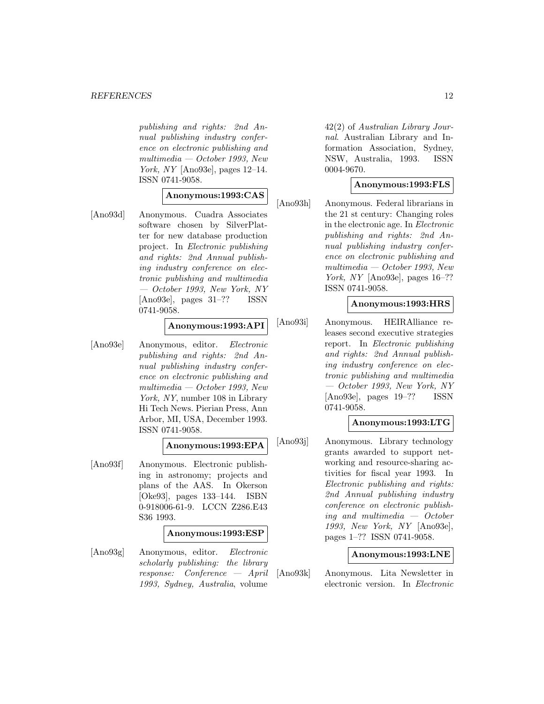publishing and rights: 2nd Annual publishing industry conference on electronic publishing and multimedia — October 1993, New York, NY [Ano93e], pages 12–14. ISSN 0741-9058.

# **Anonymous:1993:CAS**

[Ano93d] Anonymous. Cuadra Associates software chosen by SilverPlatter for new database production project. In Electronic publishing and rights: 2nd Annual publishing industry conference on electronic publishing and multimedia — October 1993, New York, NY [Ano93e], pages 31–?? ISSN 0741-9058.

### **Anonymous:1993:API**

[Ano93e] Anonymous, editor. Electronic publishing and rights: 2nd Annual publishing industry conference on electronic publishing and multimedia — October 1993, New York, NY, number 108 in Library Hi Tech News. Pierian Press, Ann Arbor, MI, USA, December 1993. ISSN 0741-9058.

### **Anonymous:1993:EPA**

[Ano93f] Anonymous. Electronic publishing in astronomy; projects and plans of the AAS. In Okerson [Oke93], pages 133–144. ISBN 0-918006-61-9. LCCN Z286.E43 S36 1993.

#### **Anonymous:1993:ESP**

[Ano93g] Anonymous, editor. Electronic scholarly publishing: the library response: Conference — April 1993, Sydney, Australia, volume

42(2) of Australian Library Journal. Australian Library and Information Association, Sydney, NSW, Australia, 1993. ISSN 0004-9670.

## **Anonymous:1993:FLS**

[Ano93h] Anonymous. Federal librarians in the 21 st century: Changing roles in the electronic age. In Electronic publishing and rights: 2nd Annual publishing industry conference on electronic publishing and  $multimedia - October 1993, New$ York, NY [Ano93e], pages 16-?? ISSN 0741-9058.

### **Anonymous:1993:HRS**

[Ano93i] Anonymous. HEIRAlliance releases second executive strategies report. In Electronic publishing and rights: 2nd Annual publishing industry conference on electronic publishing and multimedia — October 1993, New York, NY [Ano93e], pages 19–?? ISSN 0741-9058.

#### **Anonymous:1993:LTG**

[Ano93j] Anonymous. Library technology grants awarded to support networking and resource-sharing activities for fiscal year 1993. In Electronic publishing and rights: 2nd Annual publishing industry conference on electronic publishing and multimedia — October 1993, New York, NY [Ano93e], pages 1–?? ISSN 0741-9058.

#### **Anonymous:1993:LNE**

[Ano93k] Anonymous. Lita Newsletter in electronic version. In Electronic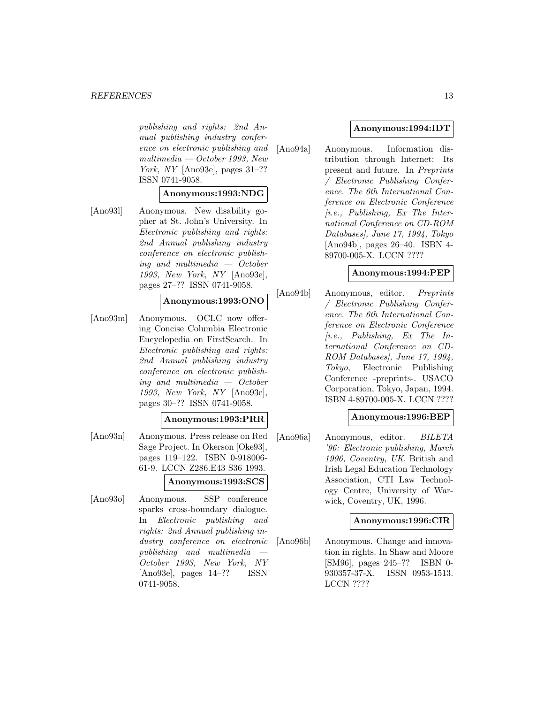#### *REFERENCES* 13

publishing and rights: 2nd Annual publishing industry conference on electronic publishing and multimedia — October 1993, New York, NY [Ano93e], pages 31–?? ISSN 0741-9058.

### **Anonymous:1993:NDG**

[Ano93l] Anonymous. New disability gopher at St. John's University. In Electronic publishing and rights: 2nd Annual publishing industry conference on electronic publishing and multimedia — October 1993, New York, NY [Ano93e], pages 27–?? ISSN 0741-9058.

### **Anonymous:1993:ONO**

[Ano93m] Anonymous. OCLC now offering Concise Columbia Electronic Encyclopedia on FirstSearch. In Electronic publishing and rights: 2nd Annual publishing industry conference on electronic publishing and multimedia — October 1993, New York, NY [Ano93e], pages 30–?? ISSN 0741-9058.

#### **Anonymous:1993:PRR**

- [Ano93n] Anonymous. Press release on Red Sage Project. In Okerson [Oke93], pages 119–122. ISBN 0-918006- 61-9. LCCN Z286.E43 S36 1993. **Anonymous:1993:SCS**
- [Ano93o] Anonymous. SSP conference sparks cross-boundary dialogue. In Electronic publishing and rights: 2nd Annual publishing industry conference on electronic publishing and multimedia — October 1993, New York, NY [Ano93e], pages 14–?? ISSN 0741-9058.

#### **Anonymous:1994:IDT**

[Ano94a] Anonymous. Information distribution through Internet: Its present and future. In Preprints / Electronic Publishing Conference. The 6th International Conference on Electronic Conference  $(i.e., Publishing, Ex The Inter$ national Conference on CD-ROM Databases], June 17, 1994, Tokyo [Ano94b], pages 26–40. ISBN 4- 89700-005-X. LCCN ????

#### **Anonymous:1994:PEP**

[Ano94b] Anonymous, editor. Preprints / Electronic Publishing Conference. The 6th International Conference on Electronic Conference  $[i.e., Phulshing, Ex The In$ ternational Conference on CD-ROM Databases], June 17, 1994, Tokyo, Electronic Publishing Conference -preprints-. USACO Corporation, Tokyo, Japan, 1994. ISBN 4-89700-005-X. LCCN ????

#### **Anonymous:1996:BEP**

[Ano96a] Anonymous, editor. BILETA '96: Electronic publishing, March 1996, Coventry, UK. British and Irish Legal Education Technology Association, CTI Law Technology Centre, University of Warwick, Coventry, UK, 1996.

#### **Anonymous:1996:CIR**

[Ano96b] Anonymous. Change and innovation in rights. In Shaw and Moore [SM96], pages 245–?? ISBN 0- 930357-37-X. ISSN 0953-1513. LCCN ????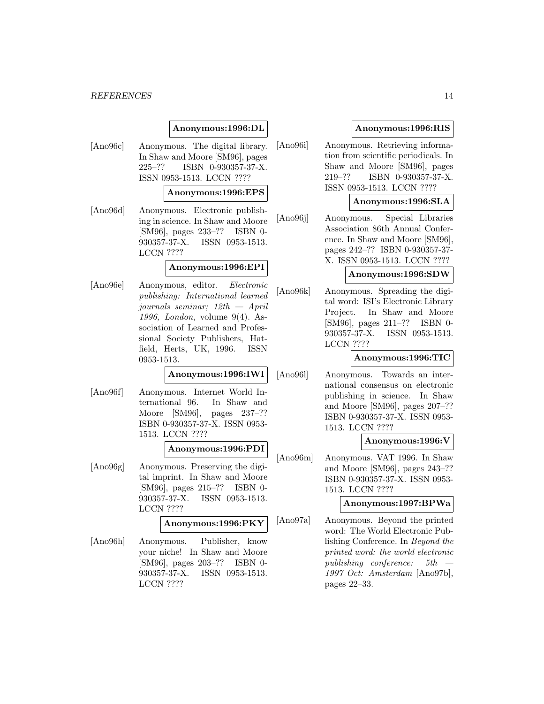#### *REFERENCES* 14

#### **Anonymous:1996:DL**

[Ano96c] Anonymous. The digital library. In Shaw and Moore [SM96], pages 225–?? ISBN 0-930357-37-X. ISSN 0953-1513. LCCN ????

#### **Anonymous:1996:EPS**

[Ano96d] Anonymous. Electronic publishing in science. In Shaw and Moore [SM96], pages 233–?? ISBN 0- 930357-37-X. ISSN 0953-1513. LCCN ????

#### **Anonymous:1996:EPI**

[Ano96e] Anonymous, editor. Electronic publishing: International learned journals seminar; 12th — April 1996, London, volume 9(4). Association of Learned and Professional Society Publishers, Hatfield, Herts, UK, 1996. ISSN 0953-1513.

#### **Anonymous:1996:IWI**

[Ano96f] Anonymous. Internet World International 96. In Shaw and Moore [SM96], pages 237–?? ISBN 0-930357-37-X. ISSN 0953- 1513. LCCN ????

#### **Anonymous:1996:PDI**

[Ano96g] Anonymous. Preserving the digital imprint. In Shaw and Moore [SM96], pages 215–?? ISBN 0- 930357-37-X. ISSN 0953-1513. LCCN ????

# **Anonymous:1996:PKY**

[Ano96h] Anonymous. Publisher, know your niche! In Shaw and Moore [SM96], pages 203–?? ISBN 0- 930357-37-X. ISSN 0953-1513. LCCN ????

### **Anonymous:1996:RIS**

[Ano96i] Anonymous. Retrieving information from scientific periodicals. In Shaw and Moore [SM96], pages 219–?? ISBN 0-930357-37-X. ISSN 0953-1513. LCCN ????

#### **Anonymous:1996:SLA**

[Ano96j] Anonymous. Special Libraries Association 86th Annual Conference. In Shaw and Moore [SM96], pages 242–?? ISBN 0-930357-37- X. ISSN 0953-1513. LCCN ????

#### **Anonymous:1996:SDW**

[Ano96k] Anonymous. Spreading the digital word: ISI's Electronic Library Project. In Shaw and Moore [SM96], pages 211–?? ISBN 0- 930357-37-X. ISSN 0953-1513. LCCN ????

#### **Anonymous:1996:TIC**

[Ano96l] Anonymous. Towards an international consensus on electronic publishing in science. In Shaw and Moore [SM96], pages 207–?? ISBN 0-930357-37-X. ISSN 0953- 1513. LCCN ????

### **Anonymous:1996:V**

[Ano96m] Anonymous. VAT 1996. In Shaw and Moore [SM96], pages 243–?? ISBN 0-930357-37-X. ISSN 0953- 1513. LCCN ????

#### **Anonymous:1997:BPWa**

[Ano97a] Anonymous. Beyond the printed word: The World Electronic Publishing Conference. In Beyond the printed word: the world electronic publishing conference: 5th — 1997 Oct: Amsterdam [Ano97b], pages 22–33.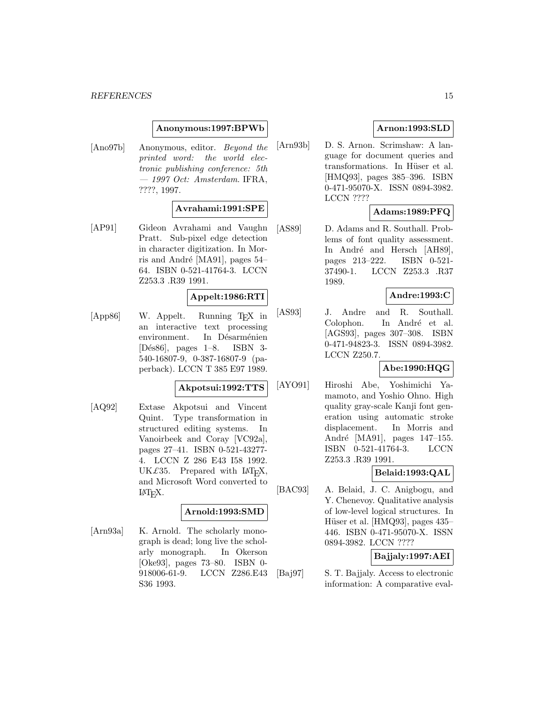### **Anonymous:1997:BPWb**

[Ano97b] Anonymous, editor. Beyond the printed word: the world electronic publishing conference: 5th  $-$  1997 Oct: Amsterdam. IFRA, ????, 1997.

### **Avrahami:1991:SPE**

[AP91] Gideon Avrahami and Vaughn Pratt. Sub-pixel edge detection in character digitization. In Morris and André [MA91], pages  $54-$ 64. ISBN 0-521-41764-3. LCCN Z253.3 .R39 1991.

### **Appelt:1986:RTI**

[App86] W. Appelt. Running TEX in an interactive text processing environment. In Désarménien [D´es86], pages 1–8. ISBN 3- 540-16807-9, 0-387-16807-9 (paperback). LCCN T 385 E97 1989.

#### **Akpotsui:1992:TTS**

[AQ92] Extase Akpotsui and Vincent Quint. Type transformation in structured editing systems. In Vanoirbeek and Coray [VC92a], pages 27–41. ISBN 0-521-43277- 4. LCCN Z 286 E43 I58 1992. UK $\pounds 35$ . Prepared with LAT<sub>EX</sub>, and Microsoft Word converted to LAT<sub>E</sub>X.

### **Arnold:1993:SMD**

[Arn93a] K. Arnold. The scholarly monograph is dead; long live the scholarly monograph. In Okerson [Oke93], pages 73–80. ISBN 0- 918006-61-9. LCCN Z286.E43 S36 1993.

### **Arnon:1993:SLD**

[Arn93b] D. S. Arnon. Scrimshaw: A language for document queries and transformations. In Hüser et al. [HMQ93], pages 385–396. ISBN 0-471-95070-X. ISSN 0894-3982. LCCN ????

### **Adams:1989:PFQ**

[AS89] D. Adams and R. Southall. Problems of font quality assessment. In André and Hersch [AH89], pages 213–222. ISBN 0-521- 37490-1. LCCN Z253.3 .R37 1989.

#### **Andre:1993:C**

[AS93] J. Andre and R. Southall. Colophon. In André et al. [AGS93], pages 307–308. ISBN 0-471-94823-3. ISSN 0894-3982. LCCN Z250.7.

### **Abe:1990:HQG**

[AYO91] Hiroshi Abe, Yoshimichi Yamamoto, and Yoshio Ohno. High quality gray-scale Kanji font generation using automatic stroke displacement. In Morris and André [MA91], pages 147–155. ISBN 0-521-41764-3. LCCN Z253.3 .R39 1991.

# **Belaid:1993:QAL**

[BAC93] A. Belaid, J. C. Anigbogu, and Y. Chenevoy. Qualitative analysis of low-level logical structures. In Hüser et al. [HMQ93], pages 435– 446. ISBN 0-471-95070-X. ISSN 0894-3982. LCCN ????

### **Bajjaly:1997:AEI**

[Baj97] S. T. Bajjaly. Access to electronic information: A comparative eval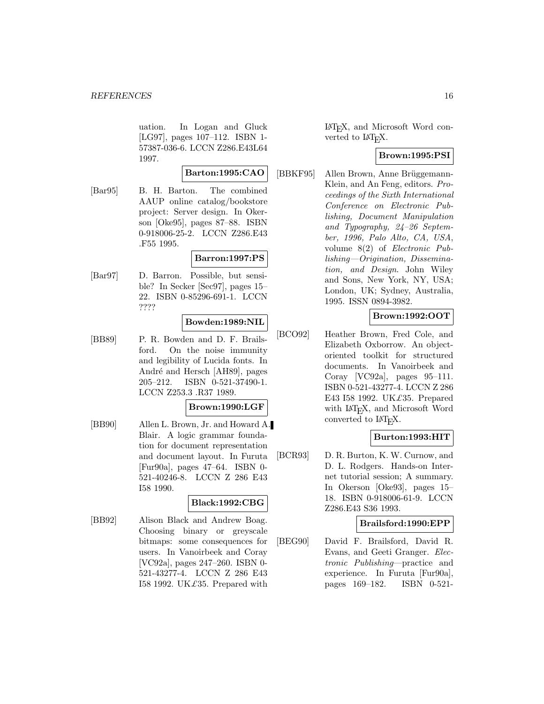uation. In Logan and Gluck [LG97], pages 107–112. ISBN 1- 57387-036-6. LCCN Z286.E43L64 1997.

### **Barton:1995:CAO**

[Bar95] B. H. Barton. The combined AAUP online catalog/bookstore project: Server design. In Okerson [Oke95], pages 87–88. ISBN 0-918006-25-2. LCCN Z286.E43 .F55 1995.

### **Barron:1997:PS**

[Bar97] D. Barron. Possible, but sensible? In Secker [Sec97], pages 15– 22. ISBN 0-85296-691-1. LCCN ????

# **Bowden:1989:NIL**

[BB89] P. R. Bowden and D. F. Brailsford. On the noise immunity and legibility of Lucida fonts. In André and Hersch [AH89], pages 205–212. ISBN 0-521-37490-1. LCCN Z253.3 .R37 1989.

### **Brown:1990:LGF**

[BB90] Allen L. Brown, Jr. and Howard A. Blair. A logic grammar foundation for document representation and document layout. In Furuta [Fur90a], pages 47–64. ISBN 0- 521-40246-8. LCCN Z 286 E43 I58 1990.

### **Black:1992:CBG**

[BB92] Alison Black and Andrew Boag. Choosing binary or greyscale bitmaps: some consequences for users. In Vanoirbeek and Coray [VC92a], pages 247–260. ISBN 0- 521-43277-4. LCCN Z 286 E43 I58 1992. UK $\pounds$ 35. Prepared with

LaTEX, and Microsoft Word converted to LAT<sub>E</sub>X.

### **Brown:1995:PSI**

[BBKF95] Allen Brown, Anne Brüggemann-Klein, and An Feng, editors. Proceedings of the Sixth International Conference on Electronic Publishing, Document Manipulation and Typography, 24–26 September, 1996, Palo Alto, CA, USA, volume 8(2) of Electronic Publishing—Origination, Dissemination, and Design. John Wiley and Sons, New York, NY, USA; London, UK; Sydney, Australia, 1995. ISSN 0894-3982.

# **Brown:1992:OOT**

[BCO92] Heather Brown, Fred Cole, and Elizabeth Oxborrow. An objectoriented toolkit for structured documents. In Vanoirbeek and Coray [VC92a], pages 95–111. ISBN 0-521-43277-4. LCCN Z 286 E43 I58 1992. UK£35. Prepared with LAT<sub>E</sub>X, and Microsoft Word converted to LAT<sub>E</sub>X.

### **Burton:1993:HIT**

[BCR93] D. R. Burton, K. W. Curnow, and D. L. Rodgers. Hands-on Internet tutorial session; A summary. In Okerson [Oke93], pages 15– 18. ISBN 0-918006-61-9. LCCN Z286.E43 S36 1993.

### **Brailsford:1990:EPP**

[BEG90] David F. Brailsford, David R. Evans, and Geeti Granger. Electronic Publishing—practice and experience. In Furuta [Fur90a], pages 169–182. ISBN 0-521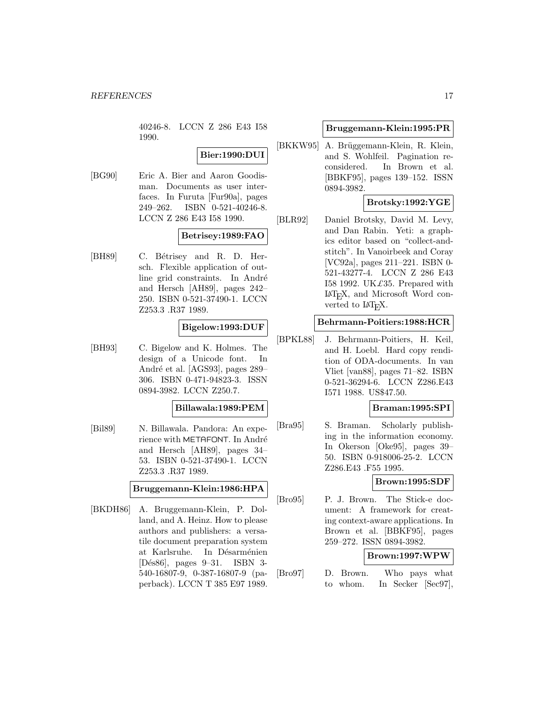40246-8. LCCN Z 286 E43 I58 1990.

# **Bier:1990:DUI**

[BG90] Eric A. Bier and Aaron Goodisman. Documents as user interfaces. In Furuta [Fur90a], pages 249–262. ISBN 0-521-40246-8. LCCN Z 286 E43 I58 1990.

### **Betrisey:1989:FAO**

[BH89] C. Bétrisey and R. D. Hersch. Flexible application of outline grid constraints. In André and Hersch [AH89], pages 242– 250. ISBN 0-521-37490-1. LCCN Z253.3 .R37 1989.

### **Bigelow:1993:DUF**

[BH93] C. Bigelow and K. Holmes. The design of a Unicode font. In André et al. [AGS93], pages 289– 306. ISBN 0-471-94823-3. ISSN 0894-3982. LCCN Z250.7.

#### **Billawala:1989:PEM**

[Bil89] N. Billawala. Pandora: An experience with METAFONT. In André and Hersch [AH89], pages 34– 53. ISBN 0-521-37490-1. LCCN Z253.3 .R37 1989.

### **Bruggemann-Klein:1986:HPA**

[BKDH86] A. Bruggemann-Klein, P. Dolland, and A. Heinz. How to please authors and publishers: a versatile document preparation system at Karlsruhe. In Désarménien [D´es86], pages 9–31. ISBN 3- 540-16807-9, 0-387-16807-9 (paperback). LCCN T 385 E97 1989.

### **Bruggemann-Klein:1995:PR**

[BKKW95] A. Brüggemann-Klein, R. Klein, and S. Wohlfeil. Pagination reconsidered. In Brown et al. [BBKF95], pages 139–152. ISSN 0894-3982.

# **Brotsky:1992:YGE**

[BLR92] Daniel Brotsky, David M. Levy, and Dan Rabin. Yeti: a graphics editor based on "collect-andstitch". In Vanoirbeek and Coray [VC92a], pages 211–221. ISBN 0- 521-43277-4. LCCN Z 286 E43 I58 1992. UK $\pounds$ 35. Prepared with LaTEX, and Microsoft Word converted to  $\text{LATF}X$ .

### **Behrmann-Poitiers:1988:HCR**

[BPKL88] J. Behrmann-Poitiers, H. Keil, and H. Loebl. Hard copy rendition of ODA-documents. In van Vliet [van88], pages 71–82. ISBN 0-521-36294-6. LCCN Z286.E43 I571 1988. US\$47.50.

### **Braman:1995:SPI**

[Bra95] S. Braman. Scholarly publishing in the information economy. In Okerson [Oke95], pages 39– 50. ISBN 0-918006-25-2. LCCN Z286.E43 .F55 1995.

### **Brown:1995:SDF**

[Bro95] P. J. Brown. The Stick-e document: A framework for creating context-aware applications. In Brown et al. [BBKF95], pages 259–272. ISSN 0894-3982.

# **Brown:1997:WPW**

[Bro97] D. Brown. Who pays what to whom. In Secker [Sec97],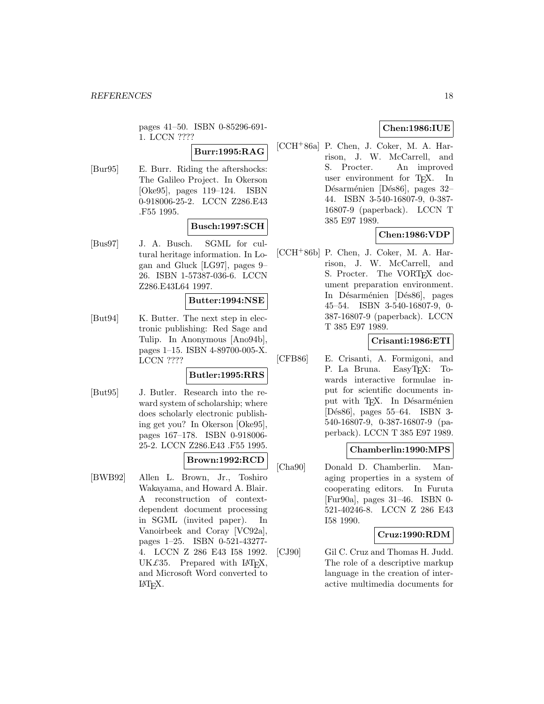pages 41–50. ISBN 0-85296-691- 1. LCCN ????

# **Burr:1995:RAG**

[Bur95] E. Burr. Riding the aftershocks: The Galileo Project. In Okerson [Oke95], pages 119–124. ISBN 0-918006-25-2. LCCN Z286.E43 .F55 1995.

# **Busch:1997:SCH**

[Bus97] J. A. Busch. SGML for cultural heritage information. In Logan and Gluck [LG97], pages 9– 26. ISBN 1-57387-036-6. LCCN Z286.E43L64 1997.

### **Butter:1994:NSE**

[But94] K. Butter. The next step in electronic publishing: Red Sage and Tulip. In Anonymous [Ano94b], pages 1–15. ISBN 4-89700-005-X. LCCN ????

### **Butler:1995:RRS**

[But95] J. Butler. Research into the reward system of scholarship; where does scholarly electronic publishing get you? In Okerson [Oke95], pages 167–178. ISBN 0-918006- 25-2. LCCN Z286.E43 .F55 1995.

### **Brown:1992:RCD**

[BWB92] Allen L. Brown, Jr., Toshiro Wakayama, and Howard A. Blair. A reconstruction of contextdependent document processing in SGML (invited paper). In Vanoirbeek and Coray [VC92a], pages 1–25. ISBN 0-521-43277- 4. LCCN Z 286 E43 I58 1992. UK $\pounds 35$ . Prepared with LAT<sub>E</sub>X, and Microsoft Word converted to  $\text{LAT}$ <sub>EX</sub>.

# **Chen:1986:IUE**

[CCH<sup>+</sup>86a] P. Chen, J. Coker, M. A. Harrison, J. W. McCarrell, and S. Procter. An improved user environment for TEX. In Désarménien [Dés86], pages 32– 44. ISBN 3-540-16807-9, 0-387- 16807-9 (paperback). LCCN T 385 E97 1989.

# **Chen:1986:VDP**

[CCH<sup>+</sup>86b] P. Chen, J. Coker, M. A. Harrison, J. W. McCarrell, and S. Procter. The VORT<sub>F</sub>X document preparation environment. In Désarménien [Dés86], pages 45–54. ISBN 3-540-16807-9, 0- 387-16807-9 (paperback). LCCN T 385 E97 1989.

### **Crisanti:1986:ETI**

[CFB86] E. Crisanti, A. Formigoni, and P. La Bruna. EasyT<sub>F</sub>X: Towards interactive formulae input for scientific documents input with TEX. In Désarménien [D´es86], pages 55–64. ISBN 3- 540-16807-9, 0-387-16807-9 (paperback). LCCN T 385 E97 1989.

### **Chamberlin:1990:MPS**

[Cha90] Donald D. Chamberlin. Managing properties in a system of cooperating editors. In Furuta [Fur90a], pages 31–46. ISBN 0- 521-40246-8. LCCN Z 286 E43 I58 1990.

### **Cruz:1990:RDM**

[CJ90] Gil C. Cruz and Thomas H. Judd. The role of a descriptive markup language in the creation of interactive multimedia documents for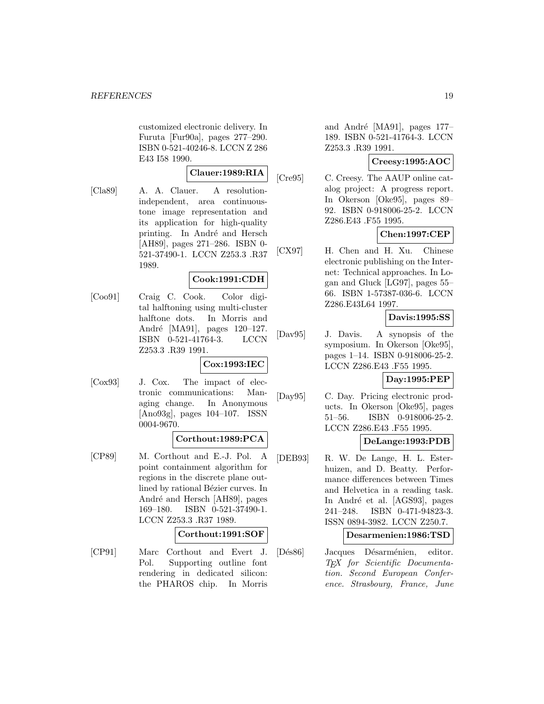customized electronic delivery. In Furuta [Fur90a], pages 277–290. ISBN 0-521-40246-8. LCCN Z 286 E43 I58 1990.

### **Clauer:1989:RIA**

[Cla89] A. A. Clauer. A resolutionindependent, area continuoustone image representation and its application for high-quality printing. In André and Hersch [AH89], pages 271–286. ISBN 0- 521-37490-1. LCCN Z253.3 .R37 1989.

### **Cook:1991:CDH**

[Coo91] Craig C. Cook. Color digital halftoning using multi-cluster halftone dots. In Morris and André [MA91], pages 120–127. ISBN 0-521-41764-3. LCCN Z253.3 .R39 1991.

#### **Cox:1993:IEC**

[Cox93] J. Cox. The impact of electronic communications: Managing change. In Anonymous [Ano93g], pages 104–107. ISSN 0004-9670.

### **Corthout:1989:PCA**

[CP89] M. Corthout and E.-J. Pol. A point containment algorithm for regions in the discrete plane outlined by rational Bézier curves. In André and Hersch [AH89], pages 169–180. ISBN 0-521-37490-1. LCCN Z253.3 .R37 1989.

#### **Corthout:1991:SOF**

[CP91] Marc Corthout and Evert J. Pol. Supporting outline font rendering in dedicated silicon: the PHAROS chip. In Morris

and André [MA91], pages  $177-$ 189. ISBN 0-521-41764-3. LCCN Z253.3 .R39 1991.

### **Creesy:1995:AOC**

[Cre95] C. Creesy. The AAUP online catalog project: A progress report. In Okerson [Oke95], pages 89– 92. ISBN 0-918006-25-2. LCCN Z286.E43 .F55 1995.

## **Chen:1997:CEP**

[CX97] H. Chen and H. Xu. Chinese electronic publishing on the Internet: Technical approaches. In Logan and Gluck [LG97], pages 55– 66. ISBN 1-57387-036-6. LCCN Z286.E43L64 1997.

### **Davis:1995:SS**

[Dav95] J. Davis. A synopsis of the symposium. In Okerson [Oke95], pages 1–14. ISBN 0-918006-25-2. LCCN Z286.E43 .F55 1995.

#### **Day:1995:PEP**

[Day95] C. Day. Pricing electronic products. In Okerson [Oke95], pages 51–56. ISBN 0-918006-25-2. LCCN Z286.E43 .F55 1995.

### **DeLange:1993:PDB**

[DEB93] R. W. De Lange, H. L. Esterhuizen, and D. Beatty. Performance differences between Times and Helvetica in a reading task. In André et al. [AGS93], pages 241–248. ISBN 0-471-94823-3. ISSN 0894-3982. LCCN Z250.7.

### **Desarmenien:1986:TSD**

[Dés86] Jacques Désarménien, editor. TEX for Scientific Documentation. Second European Conference. Strasbourg, France, June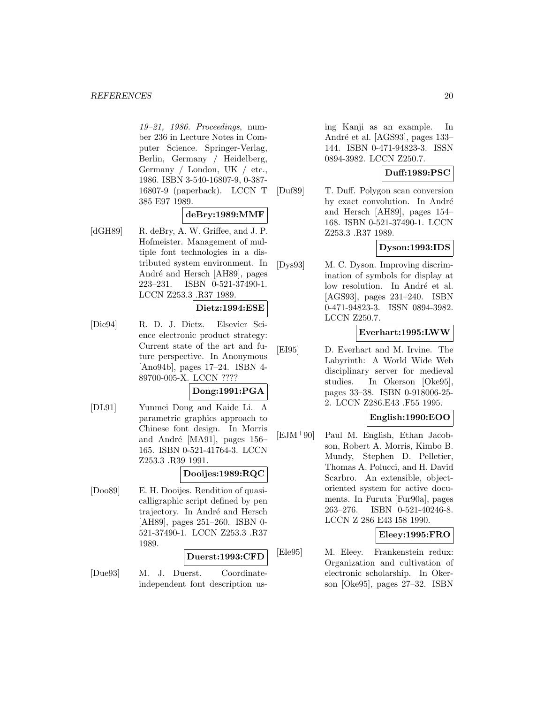19–21, 1986. Proceedings, number 236 in Lecture Notes in Computer Science. Springer-Verlag, Berlin, Germany / Heidelberg, Germany / London, UK / etc., 1986. ISBN 3-540-16807-9, 0-387- 16807-9 (paperback). LCCN T 385 E97 1989.

### **deBry:1989:MMF**

[dGH89] R. deBry, A. W. Griffee, and J. P. Hofmeister. Management of multiple font technologies in a distributed system environment. In André and Hersch [AH89], pages 223–231. ISBN 0-521-37490-1. LCCN Z253.3 .R37 1989.

## **Dietz:1994:ESE**

[Die94] R. D. J. Dietz. Elsevier Science electronic product strategy: Current state of the art and future perspective. In Anonymous [Ano94b], pages 17–24. ISBN 4- 89700-005-X. LCCN ????

# **Dong:1991:PGA**

[DL91] Yunmei Dong and Kaide Li. A parametric graphics approach to Chinese font design. In Morris and André [MA91], pages 156– 165. ISBN 0-521-41764-3. LCCN Z253.3 .R39 1991.

### **Dooijes:1989:RQC**

[Doo89] E. H. Dooijes. Rendition of quasicalligraphic script defined by pen trajectory. In André and Hersch [AH89], pages 251–260. ISBN 0- 521-37490-1. LCCN Z253.3 .R37 1989.

### **Duerst:1993:CFD**

[Due93] M. J. Duerst. Coordinateindependent font description using Kanji as an example. In André et al. [AGS93], pages 133– 144. ISBN 0-471-94823-3. ISSN 0894-3982. LCCN Z250.7.

### **Duff:1989:PSC**

[Duf89] T. Duff. Polygon scan conversion by exact convolution. In André and Hersch [AH89], pages 154– 168. ISBN 0-521-37490-1. LCCN Z253.3 .R37 1989.

### **Dyson:1993:IDS**

[Dys93] M. C. Dyson. Improving discrimination of symbols for display at low resolution. In André et al. [AGS93], pages 231–240. ISBN 0-471-94823-3. ISSN 0894-3982. LCCN Z250.7.

### **Everhart:1995:LWW**

[EI95] D. Everhart and M. Irvine. The Labyrinth: A World Wide Web disciplinary server for medieval studies. In Okerson [Oke95], pages 33–38. ISBN 0-918006-25- 2. LCCN Z286.E43 .F55 1995.

# **English:1990:EOO**

[EJM<sup>+</sup>90] Paul M. English, Ethan Jacobson, Robert A. Morris, Kimbo B. Mundy, Stephen D. Pelletier, Thomas A. Polucci, and H. David Scarbro. An extensible, objectoriented system for active documents. In Furuta [Fur90a], pages 263–276. ISBN 0-521-40246-8. LCCN Z 286 E43 I58 1990.

### **Eleey:1995:FRO**

[Ele95] M. Eleey. Frankenstein redux: Organization and cultivation of electronic scholarship. In Okerson [Oke95], pages 27–32. ISBN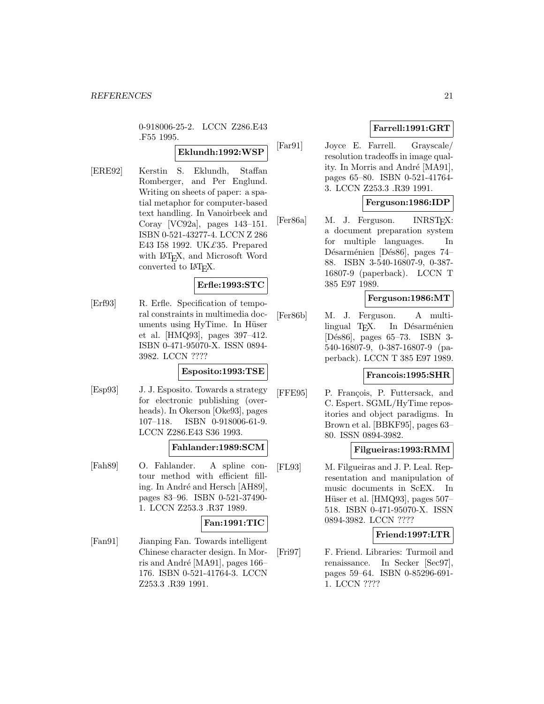0-918006-25-2. LCCN Z286.E43 .F55 1995.

# **Eklundh:1992:WSP**

[ERE92] Kerstin S. Eklundh, Staffan Romberger, and Per Englund. Writing on sheets of paper: a spatial metaphor for computer-based text handling. In Vanoirbeek and Coray [VC92a], pages 143–151. ISBN 0-521-43277-4. LCCN Z 286 E43 I58 1992. UK£35. Prepared with LAT<sub>E</sub>X, and Microsoft Word converted to  $\text{LAT}_\text{F}X$ .

### **Erfle:1993:STC**

[Erf93] R. Erfle. Specification of temporal constraints in multimedia documents using HyTime. In Hüser et al. [HMQ93], pages 397–412. ISBN 0-471-95070-X. ISSN 0894- 3982. LCCN ????

### **Esposito:1993:TSE**

[Esp93] J. J. Esposito. Towards a strategy for electronic publishing (overheads). In Okerson [Oke93], pages 107–118. ISBN 0-918006-61-9. LCCN Z286.E43 S36 1993.

# **Fahlander:1989:SCM**

[Fah89] O. Fahlander. A spline contour method with efficient filling. In André and Hersch [AH89], pages 83–96. ISBN 0-521-37490- 1. LCCN Z253.3 .R37 1989.

# **Fan:1991:TIC**

[Fan91] Jianping Fan. Towards intelligent Chinese character design. In Morris and André [MA91], pages 166– 176. ISBN 0-521-41764-3. LCCN Z253.3 .R39 1991.

# **Farrell:1991:GRT**

[Far91] Joyce E. Farrell. Grayscale/ resolution tradeoffs in image quality. In Morris and André [MA91], pages 65–80. ISBN 0-521-41764- 3. LCCN Z253.3 .R39 1991.

# **Ferguson:1986:IDP**

[Fer86a] M. J. Ferguson. INRSTEX: a document preparation system for multiple languages. In Désarménien [Dés86], pages 74– 88. ISBN 3-540-16807-9, 0-387- 16807-9 (paperback). LCCN T 385 E97 1989.

### **Ferguson:1986:MT**

[Fer86b] M. J. Ferguson. A multilingual T<sub>E</sub>X. In Désarménien [D´es86], pages 65–73. ISBN 3- 540-16807-9, 0-387-16807-9 (paperback). LCCN T 385 E97 1989.

### **Francois:1995:SHR**

[FFE95] P. François, P. Futtersack, and C. Espert. SGML/HyTime repositories and object paradigms. In Brown et al. [BBKF95], pages 63– 80. ISSN 0894-3982.

### **Filgueiras:1993:RMM**

[FL93] M. Filgueiras and J. P. Leal. Representation and manipulation of music documents in ScEX. In Hüser et al. [HMQ93], pages 507– 518. ISBN 0-471-95070-X. ISSN 0894-3982. LCCN ????

### **Friend:1997:LTR**

[Fri97] F. Friend. Libraries: Turmoil and renaissance. In Secker [Sec97], pages 59–64. ISBN 0-85296-691- 1. LCCN ????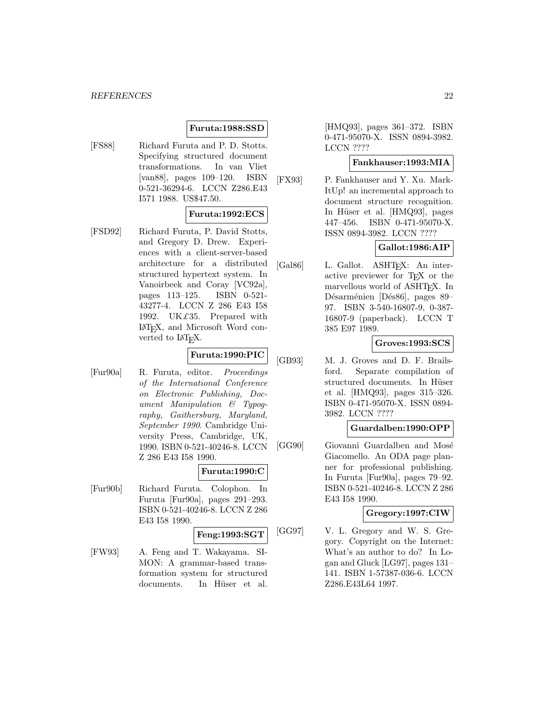# **Furuta:1988:SSD**

[FS88] Richard Furuta and P. D. Stotts. Specifying structured document transformations. In van Vliet [van88], pages 109–120. ISBN 0-521-36294-6. LCCN Z286.E43 I571 1988. US\$47.50.

### **Furuta:1992:ECS**

[FSD92] Richard Furuta, P. David Stotts, and Gregory D. Drew. Experiences with a client-server-based architecture for a distributed structured hypertext system. In Vanoirbeek and Coray [VC92a], pages 113–125. ISBN 0-521- 43277-4. LCCN Z 286 E43 I58 1992. UK£35. Prepared with LaTEX, and Microsoft Word converted to L<sup>AT</sup><sub>E</sub>X.

# **Furuta:1990:PIC**

[Fur90a] R. Furuta, editor. Proceedings of the International Conference on Electronic Publishing, Document Manipulation & Typography, Gaithersburg, Maryland, September 1990. Cambridge University Press, Cambridge, UK, 1990. ISBN 0-521-40246-8. LCCN Z 286 E43 I58 1990.

### **Furuta:1990:C**

[Fur90b] Richard Furuta. Colophon. In Furuta [Fur90a], pages 291–293. ISBN 0-521-40246-8. LCCN Z 286 E43 I58 1990.

# **Feng:1993:SGT**

[FW93] A. Feng and T. Wakayama. SI-MON: A grammar-based transformation system for structured documents. In Hüser et al.

[HMQ93], pages 361–372. ISBN 0-471-95070-X. ISSN 0894-3982. LCCN ????

## **Fankhauser:1993:MIA**

[FX93] P. Fankhauser and Y. Xu. Mark-ItUp! an incremental approach to document structure recognition. In Hüser et al. [HMQ93], pages 447–456. ISBN 0-471-95070-X. ISSN 0894-3982. LCCN ????

## **Gallot:1986:AIP**

[Gal86] L. Gallot. ASHT<sub>EX</sub>: An interactive previewer for TEX or the marvellous world of ASHT<sub>EX</sub>. In Désarménien [Dés86], pages 89– 97. ISBN 3-540-16807-9, 0-387- 16807-9 (paperback). LCCN T 385 E97 1989.

### **Groves:1993:SCS**

[GB93] M. J. Groves and D. F. Brailsford. Separate compilation of structured documents. In Hüser et al. [HMQ93], pages 315–326. ISBN 0-471-95070-X. ISSN 0894- 3982. LCCN ????

### **Guardalben:1990:OPP**

[GG90] Giovanni Guardalben and Mosé Giacomello. An ODA page planner for professional publishing. In Furuta [Fur90a], pages 79–92. ISBN 0-521-40246-8. LCCN Z 286 E43 I58 1990.

### **Gregory:1997:CIW**

[GG97] V. L. Gregory and W. S. Gregory. Copyright on the Internet: What's an author to do? In Logan and Gluck [LG97], pages 131– 141. ISBN 1-57387-036-6. LCCN Z286.E43L64 1997.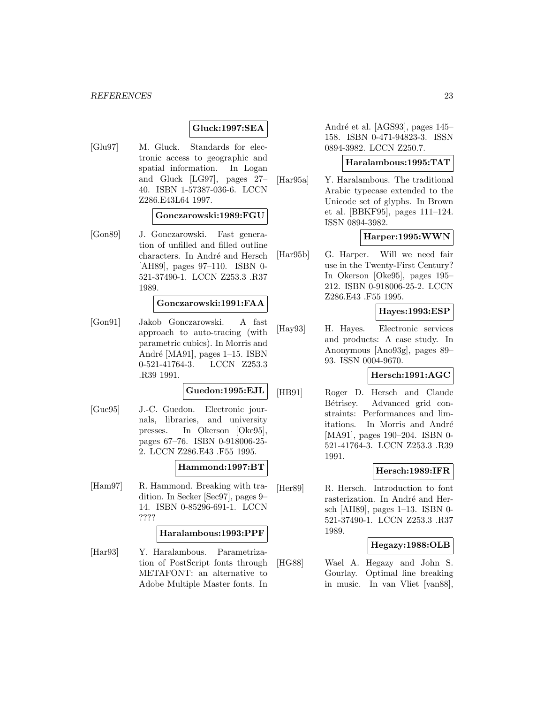### **Gluck:1997:SEA**

[Glu97] M. Gluck. Standards for electronic access to geographic and spatial information. In Logan and Gluck [LG97], pages 27– 40. ISBN 1-57387-036-6. LCCN Z286.E43L64 1997.

### **Gonczarowski:1989:FGU**

[Gon89] J. Gonczarowski. Fast generation of unfilled and filled outline characters. In André and Hersch [AH89], pages 97–110. ISBN 0- 521-37490-1. LCCN Z253.3 .R37 1989.

#### **Gonczarowski:1991:FAA**

[Gon91] Jakob Gonczarowski. A fast approach to auto-tracing (with parametric cubics). In Morris and André [MA91], pages 1–15. ISBN 0-521-41764-3. LCCN Z253.3 .R39 1991.

#### **Guedon:1995:EJL**

[Gue95] J.-C. Guedon. Electronic journals, libraries, and university presses. In Okerson [Oke95], pages 67–76. ISBN 0-918006-25- 2. LCCN Z286.E43 .F55 1995.

### **Hammond:1997:BT**

[Ham97] R. Hammond. Breaking with tradition. In Secker [Sec97], pages 9– 14. ISBN 0-85296-691-1. LCCN ????

#### **Haralambous:1993:PPF**

[Har93] Y. Haralambous. Parametrization of PostScript fonts through METAFONT: an alternative to Adobe Multiple Master fonts. In

André et al. [AGS93], pages 145– 158. ISBN 0-471-94823-3. ISSN 0894-3982. LCCN Z250.7.

### **Haralambous:1995:TAT**

[Har95a] Y. Haralambous. The traditional Arabic typecase extended to the Unicode set of glyphs. In Brown et al. [BBKF95], pages 111–124. ISSN 0894-3982.

## **Harper:1995:WWN**

[Har95b] G. Harper. Will we need fair use in the Twenty-First Century? In Okerson [Oke95], pages 195– 212. ISBN 0-918006-25-2. LCCN Z286.E43 .F55 1995.

#### **Hayes:1993:ESP**

[Hay93] H. Hayes. Electronic services and products: A case study. In Anonymous [Ano93g], pages 89– 93. ISSN 0004-9670.

### **Hersch:1991:AGC**

[HB91] Roger D. Hersch and Claude Bétrisey. Advanced grid constraints: Performances and limitations. In Morris and André [MA91], pages 190–204. ISBN 0- 521-41764-3. LCCN Z253.3 .R39 1991.

#### **Hersch:1989:IFR**

[Her89] R. Hersch. Introduction to font rasterization. In André and Hersch [AH89], pages 1–13. ISBN 0- 521-37490-1. LCCN Z253.3 .R37 1989.

# **Hegazy:1988:OLB**

[HG88] Wael A. Hegazy and John S. Gourlay. Optimal line breaking in music. In van Vliet [van88],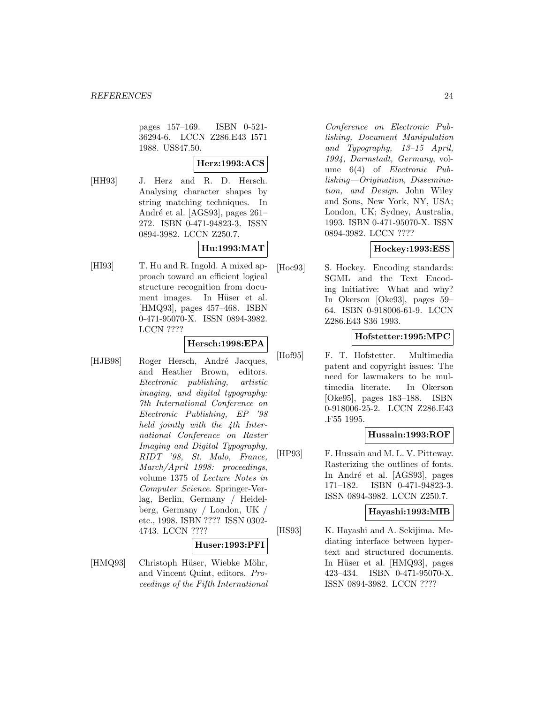pages 157–169. ISBN 0-521- 36294-6. LCCN Z286.E43 I571 1988. US\$47.50.

**Herz:1993:ACS**

[HH93] J. Herz and R. D. Hersch. Analysing character shapes by string matching techniques. In André et al. [AGS93], pages 261– 272. ISBN 0-471-94823-3. ISSN 0894-3982. LCCN Z250.7.

# **Hu:1993:MAT**

[HI93] T. Hu and R. Ingold. A mixed approach toward an efficient logical structure recognition from document images. In Hüser et al. [HMQ93], pages 457–468. ISBN 0-471-95070-X. ISSN 0894-3982. LCCN ????

# **Hersch:1998:EPA**

[HJB98] Roger Hersch, André Jacques, and Heather Brown, editors. Electronic publishing, artistic imaging, and digital typography: 7th International Conference on Electronic Publishing, EP '98 held jointly with the 4th International Conference on Raster Imaging and Digital Typography, RIDT '98, St. Malo, France, March/April 1998: proceedings, volume 1375 of Lecture Notes in Computer Science. Springer-Verlag, Berlin, Germany / Heidelberg, Germany / London, UK / etc., 1998. ISBN ???? ISSN 0302- 4743. LCCN ????

### **Huser:1993:PFI**

[HMQ93] Christoph Hüser, Wiebke Möhr, and Vincent Quint, editors. Proceedings of the Fifth International

Conference on Electronic Publishing, Document Manipulation and Typography, 13–15 April, 1994, Darmstadt, Germany, volume 6(4) of Electronic Publishing—Origination, Dissemination, and Design. John Wiley and Sons, New York, NY, USA; London, UK; Sydney, Australia, 1993. ISBN 0-471-95070-X. ISSN 0894-3982. LCCN ????

# **Hockey:1993:ESS**

[Hoc93] S. Hockey. Encoding standards: SGML and the Text Encoding Initiative: What and why? In Okerson [Oke93], pages 59– 64. ISBN 0-918006-61-9. LCCN Z286.E43 S36 1993.

### **Hofstetter:1995:MPC**

[Hof95] F. T. Hofstetter. Multimedia patent and copyright issues: The need for lawmakers to be multimedia literate. In Okerson [Oke95], pages 183–188. ISBN 0-918006-25-2. LCCN Z286.E43 .F55 1995.

# **Hussain:1993:ROF**

[HP93] F. Hussain and M. L. V. Pitteway. Rasterizing the outlines of fonts. In André et al. [AGS93], pages 171–182. ISBN 0-471-94823-3. ISSN 0894-3982. LCCN Z250.7.

### **Hayashi:1993:MIB**

[HS93] K. Hayashi and A. Sekijima. Mediating interface between hypertext and structured documents. In Hüser et al. [HMQ93], pages 423–434. ISBN 0-471-95070-X. ISSN 0894-3982. LCCN ????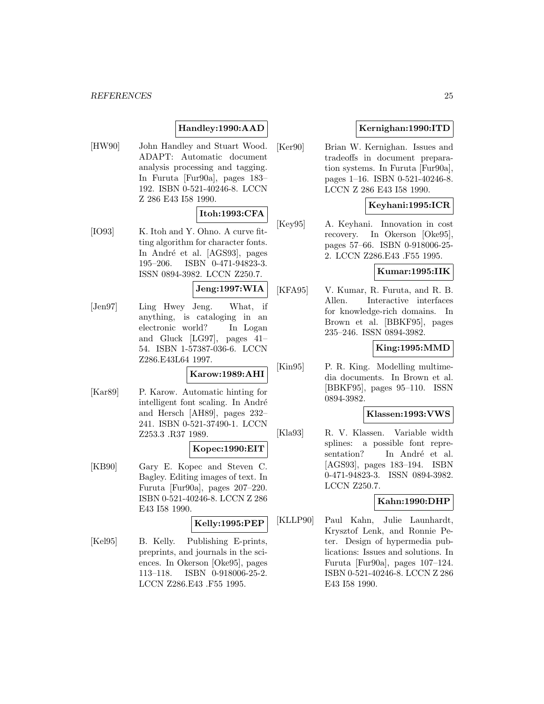# **Handley:1990:AAD**

[HW90] John Handley and Stuart Wood. ADAPT: Automatic document analysis processing and tagging. In Furuta [Fur90a], pages 183– 192. ISBN 0-521-40246-8. LCCN Z 286 E43 I58 1990.

### **Itoh:1993:CFA**

[IO93] K. Itoh and Y. Ohno. A curve fitting algorithm for character fonts. In André et al. [AGS93], pages 195–206. ISBN 0-471-94823-3. ISSN 0894-3982. LCCN Z250.7.

# **Jeng:1997:WIA**

[Jen97] Ling Hwey Jeng. What, if anything, is cataloging in an electronic world? In Logan and Gluck [LG97], pages 41– 54. ISBN 1-57387-036-6. LCCN Z286.E43L64 1997.

# **Karow:1989:AHI**

[Kar89] P. Karow. Automatic hinting for intelligent font scaling. In André and Hersch [AH89], pages 232– 241. ISBN 0-521-37490-1. LCCN Z253.3 .R37 1989.

### **Kopec:1990:EIT**

[KB90] Gary E. Kopec and Steven C. Bagley. Editing images of text. In Furuta [Fur90a], pages 207–220. ISBN 0-521-40246-8. LCCN Z 286 E43 I58 1990.

# **Kelly:1995:PEP**

[Kel95] B. Kelly. Publishing E-prints, preprints, and journals in the sciences. In Okerson [Oke95], pages 113–118. ISBN 0-918006-25-2. LCCN Z286.E43 .F55 1995.

# **Kernighan:1990:ITD**

[Ker90] Brian W. Kernighan. Issues and tradeoffs in document preparation systems. In Furuta [Fur90a], pages 1–16. ISBN 0-521-40246-8. LCCN Z 286 E43 I58 1990.

# **Keyhani:1995:ICR**

[Key95] A. Keyhani. Innovation in cost recovery. In Okerson [Oke95], pages 57–66. ISBN 0-918006-25- 2. LCCN Z286.E43 .F55 1995.

#### **Kumar:1995:IIK**

[KFA95] V. Kumar, R. Furuta, and R. B. Allen. Interactive interfaces for knowledge-rich domains. In Brown et al. [BBKF95], pages 235–246. ISSN 0894-3982.

### **King:1995:MMD**

[Kin95] P. R. King. Modelling multimedia documents. In Brown et al. [BBKF95], pages 95–110. ISSN 0894-3982.

## **Klassen:1993:VWS**

[Kla93] R. V. Klassen. Variable width splines: a possible font representation? In André et al. [AGS93], pages 183–194. ISBN 0-471-94823-3. ISSN 0894-3982. LCCN Z250.7.

### **Kahn:1990:DHP**

[KLLP90] Paul Kahn, Julie Launhardt, Krysztof Lenk, and Ronnie Peter. Design of hypermedia publications: Issues and solutions. In Furuta [Fur90a], pages 107–124. ISBN 0-521-40246-8. LCCN Z 286 E43 I58 1990.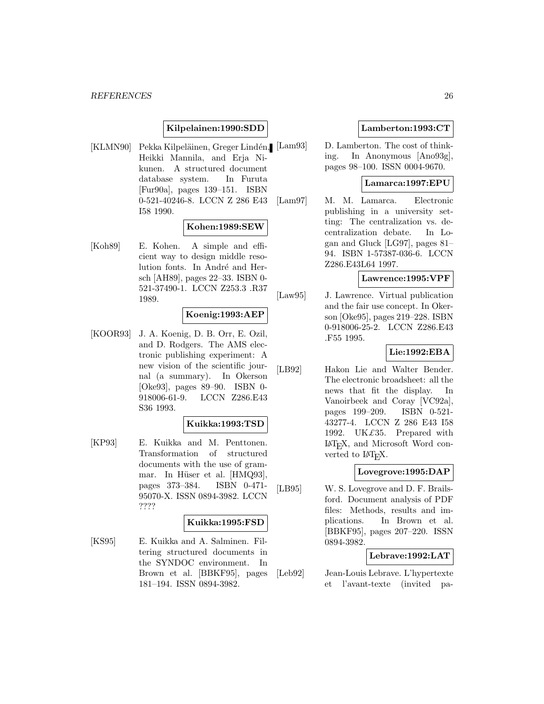### **Kilpelainen:1990:SDD**

[KLMN90] Pekka Kilpeläinen, Greger Lindén, [Lam93] Heikki Mannila, and Erja Nikunen. A structured document database system. In Furuta [Fur90a], pages 139–151. ISBN 0-521-40246-8. LCCN Z 286 E43 I58 1990.

### **Kohen:1989:SEW**

[Koh89] E. Kohen. A simple and efficient way to design middle resolution fonts. In André and Hersch [AH89], pages 22–33. ISBN 0- 521-37490-1. LCCN Z253.3 .R37 1989.

#### **Koenig:1993:AEP**

[KOOR93] J. A. Koenig, D. B. Orr, E. Ozil, and D. Rodgers. The AMS electronic publishing experiment: A new vision of the scientific journal (a summary). In Okerson [Oke93], pages 89–90. ISBN 0- 918006-61-9. LCCN Z286.E43 S36 1993.

### **Kuikka:1993:TSD**

[KP93] E. Kuikka and M. Penttonen. Transformation of structured documents with the use of grammar. In Hüser et al. [HMQ93], pages 373–384. ISBN 0-471- 95070-X. ISSN 0894-3982. LCCN ????

### **Kuikka:1995:FSD**

[KS95] E. Kuikka and A. Salminen. Filtering structured documents in the SYNDOC environment. In Brown et al. [BBKF95], pages 181–194. ISSN 0894-3982.

### **Lamberton:1993:CT**

D. Lamberton. The cost of thinking. In Anonymous [Ano93g], pages 98–100. ISSN 0004-9670.

#### **Lamarca:1997:EPU**

[Lam97] M. M. Lamarca. Electronic publishing in a university setting: The centralization vs. decentralization debate. In Logan and Gluck [LG97], pages 81– 94. ISBN 1-57387-036-6. LCCN Z286.E43L64 1997.

### **Lawrence:1995:VPF**

[Law95] J. Lawrence. Virtual publication and the fair use concept. In Okerson [Oke95], pages 219–228. ISBN 0-918006-25-2. LCCN Z286.E43 .F55 1995.

#### **Lie:1992:EBA**

[LB92] Hakon Lie and Walter Bender. The electronic broadsheet: all the news that fit the display. In Vanoirbeek and Coray [VC92a], pages 199–209. ISBN 0-521- 43277-4. LCCN Z 286 E43 I58 1992. UK $£35$ . Prepared with LaTEX, and Microsoft Word converted to L<sup>AT</sup><sub>E</sub>X.

### **Lovegrove:1995:DAP**

[LB95] W. S. Lovegrove and D. F. Brailsford. Document analysis of PDF files: Methods, results and implications. In Brown et al. [BBKF95], pages 207–220. ISSN 0894-3982.

### **Lebrave:1992:LAT**

[Leb92] Jean-Louis Lebrave. L'hypertexte et l'avant-texte (invited pa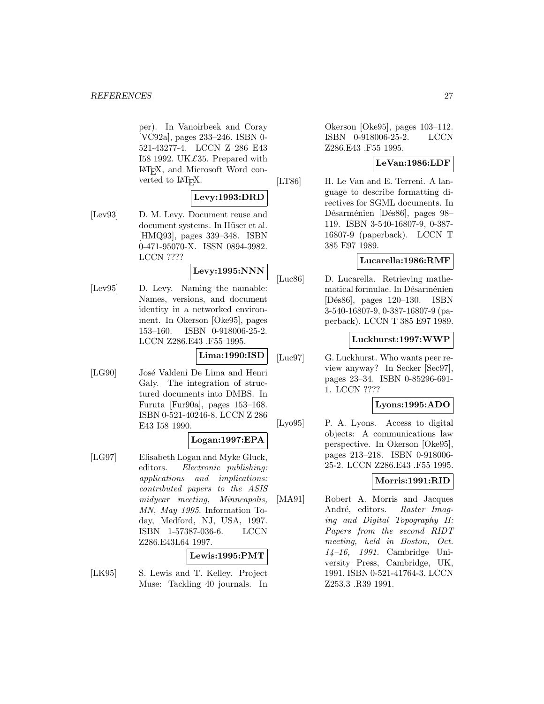per). In Vanoirbeek and Coray [VC92a], pages 233–246. ISBN 0- 521-43277-4. LCCN Z 286 E43 I58 1992. UK $\pounds$ 35. Prepared with LaTEX, and Microsoft Word converted to L<sup>AT</sup>EX.

# **Levy:1993:DRD**

[Lev93] D. M. Levy. Document reuse and document systems. In Hüser et al. [HMQ93], pages 339–348. ISBN 0-471-95070-X. ISSN 0894-3982. LCCN ????

### **Levy:1995:NNN**

[Lev95] D. Levy. Naming the namable: Names, versions, and document identity in a networked environment. In Okerson [Oke95], pages 153–160. ISBN 0-918006-25-2. LCCN Z286.E43 .F55 1995.

**Lima:1990:ISD**

[LG90] José Valdeni De Lima and Henri Galy. The integration of structured documents into DMBS. In Furuta [Fur90a], pages 153–168. ISBN 0-521-40246-8. LCCN Z 286 E43 I58 1990.

# **Logan:1997:EPA**

[LG97] Elisabeth Logan and Myke Gluck, editors. Electronic publishing: applications and implications: contributed papers to the ASIS midyear meeting, Minneapolis, MN, May 1995. Information Today, Medford, NJ, USA, 1997. ISBN 1-57387-036-6. LCCN Z286.E43L64 1997.

### **Lewis:1995:PMT**

[LK95] S. Lewis and T. Kelley. Project Muse: Tackling 40 journals. In

Okerson [Oke95], pages 103–112. ISBN 0-918006-25-2. LCCN Z286.E43 .F55 1995.

# **LeVan:1986:LDF**

[LT86] H. Le Van and E. Terreni. A language to describe formatting directives for SGML documents. In Désarménien [Dés86], pages 98– 119. ISBN 3-540-16807-9, 0-387- 16807-9 (paperback). LCCN T 385 E97 1989.

# **Lucarella:1986:RMF**

[Luc86] D. Lucarella. Retrieving mathematical formulae. In Désarménien [D´es86], pages 120–130. ISBN 3-540-16807-9, 0-387-16807-9 (paperback). LCCN T 385 E97 1989.

### **Luckhurst:1997:WWP**

[Luc97] G. Luckhurst. Who wants peer review anyway? In Secker [Sec97], pages 23–34. ISBN 0-85296-691- 1. LCCN ????

### **Lyons:1995:ADO**

[Lyo95] P. A. Lyons. Access to digital objects: A communications law perspective. In Okerson [Oke95], pages 213–218. ISBN 0-918006- 25-2. LCCN Z286.E43 .F55 1995.

# **Morris:1991:RID**

[MA91] Robert A. Morris and Jacques André, editors. Raster Imaging and Digital Topography II: Papers from the second RIDT meeting, held in Boston, Oct. 14–16, 1991. Cambridge University Press, Cambridge, UK, 1991. ISBN 0-521-41764-3. LCCN Z253.3 .R39 1991.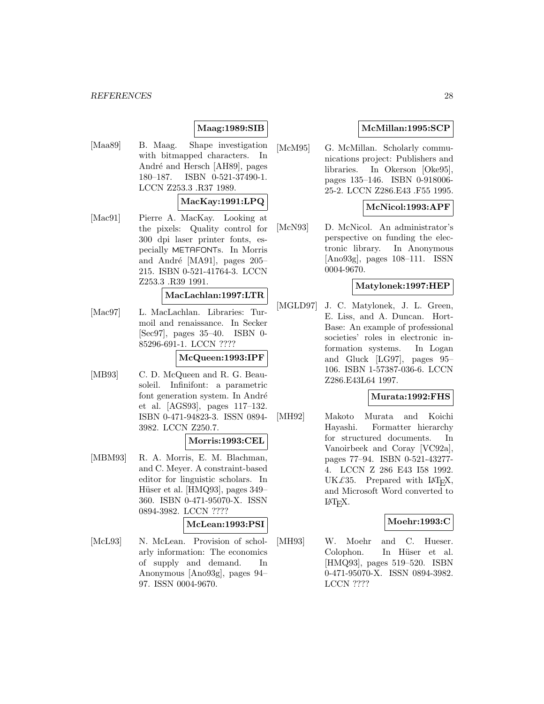#### *REFERENCES* 28

# **Maag:1989:SIB**

[Maa89] B. Maag. Shape investigation with bitmapped characters. In André and Hersch [AH89], pages 180–187. ISBN 0-521-37490-1. LCCN Z253.3 .R37 1989.

## **MacKay:1991:LPQ**

[Mac91] Pierre A. MacKay. Looking at the pixels: Quality control for 300 dpi laser printer fonts, especially METAFONTs. In Morris and André [MA91], pages 205– 215. ISBN 0-521-41764-3. LCCN Z253.3 .R39 1991.

#### **MacLachlan:1997:LTR**

[Mac97] L. MacLachlan. Libraries: Turmoil and renaissance. In Secker [Sec97], pages 35–40. ISBN 0- 85296-691-1. LCCN ????

#### **McQueen:1993:IPF**

[MB93] C. D. McQueen and R. G. Beausoleil. Infinifont: a parametric font generation system. In André et al. [AGS93], pages 117–132. ISBN 0-471-94823-3. ISSN 0894- 3982. LCCN Z250.7.

#### **Morris:1993:CEL**

[MBM93] R. A. Morris, E. M. Blachman, and C. Meyer. A constraint-based editor for linguistic scholars. In Hüser et al. [HMQ93], pages  $349-$ 360. ISBN 0-471-95070-X. ISSN 0894-3982. LCCN ????

### **McLean:1993:PSI**

[McL93] N. McLean. Provision of scholarly information: The economics of supply and demand. In Anonymous [Ano93g], pages 94– 97. ISSN 0004-9670.

## **McMillan:1995:SCP**

[McM95] G. McMillan. Scholarly communications project: Publishers and libraries. In Okerson [Oke95], pages 135–146. ISBN 0-918006- 25-2. LCCN Z286.E43 .F55 1995.

## **McNicol:1993:APF**

[McN93] D. McNicol. An administrator's perspective on funding the electronic library. In Anonymous [Ano93g], pages 108–111. ISSN 0004-9670.

### **Matylonek:1997:HEP**

[MGLD97] J. C. Matylonek, J. L. Green, E. Liss, and A. Duncan. Hort-Base: An example of professional societies' roles in electronic information systems. In Logan and Gluck [LG97], pages 95– 106. ISBN 1-57387-036-6. LCCN Z286.E43L64 1997.

### **Murata:1992:FHS**

[MH92] Makoto Murata and Koichi Hayashi. Formatter hierarchy for structured documents. In Vanoirbeek and Coray [VC92a], pages 77–94. ISBN 0-521-43277- 4. LCCN Z 286 E43 I58 1992. UK $\pounds$ 35. Prepared with LAT<sub>E</sub>X, and Microsoft Word converted to <sup>L</sup>aTEX.

### **Moehr:1993:C**

[MH93] W. Moehr and C. Hueser. Colophon. In Hüser et al. [HMQ93], pages 519–520. ISBN 0-471-95070-X. ISSN 0894-3982. LCCN ????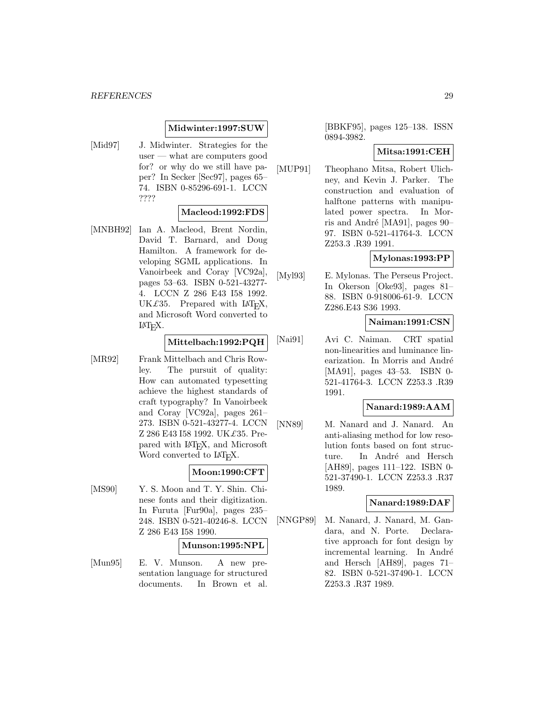#### **Midwinter:1997:SUW**

[Mid97] J. Midwinter. Strategies for the user — what are computers good for? or why do we still have paper? In Secker [Sec97], pages 65– 74. ISBN 0-85296-691-1. LCCN ????

#### **Macleod:1992:FDS**

[MNBH92] Ian A. Macleod, Brent Nordin, David T. Barnard, and Doug Hamilton. A framework for developing SGML applications. In Vanoirbeek and Coray [VC92a], pages 53–63. ISBN 0-521-43277- 4. LCCN Z 286 E43 I58 1992. UK $\pounds$ 35. Prepared with LAT<sub>E</sub>X, and Microsoft Word converted to  $\text{LAT}$ <sub>EX</sub>.

#### **Mittelbach:1992:PQH**

[MR92] Frank Mittelbach and Chris Rowley. The pursuit of quality: How can automated typesetting achieve the highest standards of craft typography? In Vanoirbeek and Coray [VC92a], pages 261– 273. ISBN 0-521-43277-4. LCCN Z 286 E43 I58 1992. UK£35. Prepared with LAT<sub>E</sub>X, and Microsoft Word converted to LAT<sub>E</sub>X.

## **Moon:1990:CFT**

[MS90] Y. S. Moon and T. Y. Shin. Chinese fonts and their digitization. In Furuta [Fur90a], pages 235– 248. ISBN 0-521-40246-8. LCCN Z 286 E43 I58 1990.

#### **Munson:1995:NPL**

[Mun95] E. V. Munson. A new presentation language for structured documents. In Brown et al.

[BBKF95], pages 125–138. ISSN 0894-3982.

#### **Mitsa:1991:CEH**

[MUP91] Theophano Mitsa, Robert Ulichney, and Kevin J. Parker. The construction and evaluation of halftone patterns with manipulated power spectra. In Morris and André [MA91], pages  $90-$ 97. ISBN 0-521-41764-3. LCCN Z253.3 .R39 1991.

#### **Mylonas:1993:PP**

[Myl93] E. Mylonas. The Perseus Project. In Okerson [Oke93], pages 81– 88. ISBN 0-918006-61-9. LCCN Z286.E43 S36 1993.

### **Naiman:1991:CSN**

[Nai91] Avi C. Naiman. CRT spatial non-linearities and luminance linearization. In Morris and André [MA91], pages 43–53. ISBN 0- 521-41764-3. LCCN Z253.3 .R39 1991.

#### **Nanard:1989:AAM**

[NN89] M. Nanard and J. Nanard. An anti-aliasing method for low resolution fonts based on font structure. In André and Hersch [AH89], pages 111–122. ISBN 0- 521-37490-1. LCCN Z253.3 .R37 1989.

#### **Nanard:1989:DAF**

[NNGP89] M. Nanard, J. Nanard, M. Gandara, and N. Porte. Declarative approach for font design by incremental learning. In André and Hersch [AH89], pages 71– 82. ISBN 0-521-37490-1. LCCN Z253.3 .R37 1989.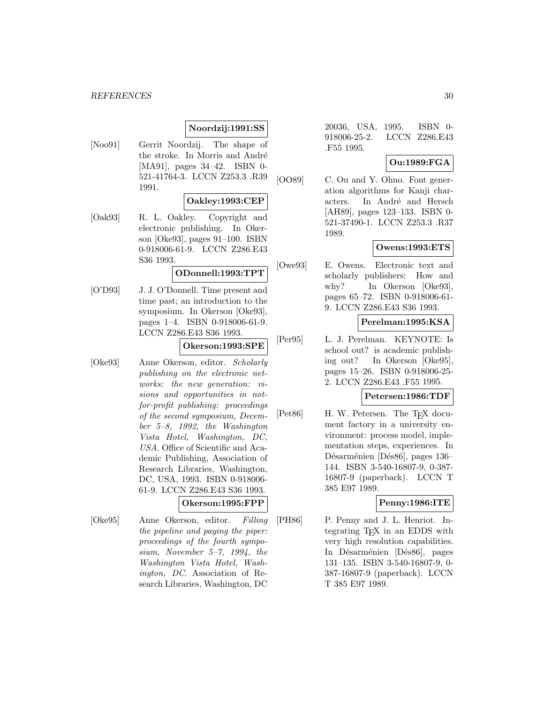## **Noordzij:1991:SS**

[Noo91] Gerrit Noordzij. The shape of the stroke. In Morris and André [MA91], pages 34–42. ISBN 0- 521-41764-3. LCCN Z253.3 .R39 1991.

#### **Oakley:1993:CEP**

[Oak93] R. L. Oakley. Copyright and electronic publishing. In Okerson [Oke93], pages 91–100. ISBN 0-918006-61-9. LCCN Z286.E43 S36 1993.

#### **ODonnell:1993:TPT**

[O'D93] J. J. O'Donnell. Time present and time past; an introduction to the symposium. In Okerson [Oke93], pages 1–4. ISBN 0-918006-61-9. LCCN Z286.E43 S36 1993.

### **Okerson:1993:SPE**

- [Oke93] Anne Okerson, editor. Scholarly publishing on the electronic networks: the new generation: visions and opportunities in notfor-profit publishing: proceedings of the second symposium, December 5–8, 1992, the Washington Vista Hotel, Washington, DC, USA. Office of Scientific and Academic Publishing, Association of Research Libraries, Washington, DC, USA, 1993. ISBN 0-918006- 61-9. LCCN Z286.E43 S36 1993. **Okerson:1995:FPP**
- [Oke95] Anne Okerson, editor. Filling the pipeline and paying the piper: proceedings of the fourth symposium, November 5–7, 1994, the Washington Vista Hotel, Washington, DC. Association of Research Libraries, Washington, DC

20036, USA, 1995. ISBN 0- 918006-25-2. LCCN Z286.E43 .F55 1995.

### **Ou:1989:FGA**

[OO89] C. Ou and Y. Ohno. Font generation algorithms for Kanji characters. In André and Hersch [AH89], pages 123–133. ISBN 0- 521-37490-1. LCCN Z253.3 .R37 1989.

### **Owens:1993:ETS**

[Owe93] E. Owens. Electronic text and scholarly publishers: How and why? In Okerson [Oke93], pages 65–72. ISBN 0-918006-61- 9. LCCN Z286.E43 S36 1993.

# **Perelman:1995:KSA**

[Per95] L. J. Perelman. KEYNOTE: Is school out? is academic publishing out? In Okerson [Oke95], pages 15–26. ISBN 0-918006-25- 2. LCCN Z286.E43 .F55 1995.

#### **Petersen:1986:TDF**

[Pet86] H. W. Petersen. The T<sub>E</sub>X document factory in a university environment: process model, implementation steps, experiences. In Désarménien [Dés86], pages 136– 144. ISBN 3-540-16807-9, 0-387- 16807-9 (paperback). LCCN T 385 E97 1989.

### **Penny:1986:ITE**

[PH86] P. Penny and J. L. Henriot. Integrating TEX in an EDDS with very high resolution capabilities. In Désarménien [Dés86], pages 131–135. ISBN 3-540-16807-9, 0- 387-16807-9 (paperback). LCCN T 385 E97 1989.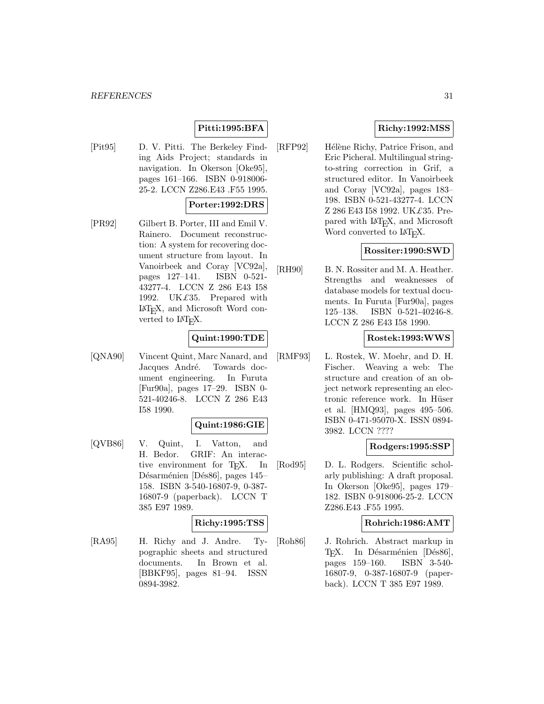#### *REFERENCES* 31

# **Pitti:1995:BFA**

[Pit95] D. V. Pitti. The Berkeley Finding Aids Project; standards in navigation. In Okerson [Oke95], pages 161–166. ISBN 0-918006- 25-2. LCCN Z286.E43 .F55 1995.

#### **Porter:1992:DRS**

[PR92] Gilbert B. Porter, III and Emil V. Rainero. Document reconstruction: A system for recovering document structure from layout. In Vanoirbeek and Coray [VC92a], pages 127–141. ISBN 0-521- 43277-4. LCCN Z 286 E43 I58 1992. UK£35. Prepared with LaTEX, and Microsoft Word converted to  $\text{LAT}$ <sub>EX</sub>.

### **Quint:1990:TDE**

[QNA90] Vincent Quint, Marc Nanard, and Jacques André. Towards document engineering. In Furuta [Fur90a], pages 17–29. ISBN 0- 521-40246-8. LCCN Z 286 E43 I58 1990.

#### **Quint:1986:GIE**

[QVB86] V. Quint, I. Vatton, and H. Bedor. GRIF: An interactive environment for T<sub>E</sub>X. In Désarménien [Dés86], pages 145– 158. ISBN 3-540-16807-9, 0-387- 16807-9 (paperback). LCCN T 385 E97 1989.

## **Richy:1995:TSS**

[RA95] H. Richy and J. Andre. Typographic sheets and structured documents. In Brown et al. [BBKF95], pages 81–94. ISSN 0894-3982.

## **Richy:1992:MSS**

[RFP92] Hélène Richy, Patrice Frison, and Eric Picheral. Multilingual stringto-string correction in Grif, a structured editor. In Vanoirbeek and Coray [VC92a], pages 183– 198. ISBN 0-521-43277-4. LCCN Z 286 E43 I58 1992. UK£35. Prepared with LAT<sub>E</sub>X, and Microsoft Word converted to LAT<sub>E</sub>X.

### **Rossiter:1990:SWD**

[RH90] B. N. Rossiter and M. A. Heather. Strengths and weaknesses of database models for textual documents. In Furuta [Fur90a], pages 125–138. ISBN 0-521-40246-8. LCCN Z 286 E43 I58 1990.

#### **Rostek:1993:WWS**

[RMF93] L. Rostek, W. Moehr, and D. H. Fischer. Weaving a web: The structure and creation of an object network representing an electronic reference work. In Hüser et al. [HMQ93], pages 495–506. ISBN 0-471-95070-X. ISSN 0894- 3982. LCCN ????

#### **Rodgers:1995:SSP**

[Rod95] D. L. Rodgers. Scientific scholarly publishing: A draft proposal. In Okerson [Oke95], pages 179– 182. ISBN 0-918006-25-2. LCCN Z286.E43 .F55 1995.

#### **Rohrich:1986:AMT**

[Roh86] J. Rohrich. Abstract markup in TEX. In Désarménien [Dés86],<br>pages 159–160. ISBN 3-540pages  $159-160$ . 16807-9, 0-387-16807-9 (paperback). LCCN T 385 E97 1989.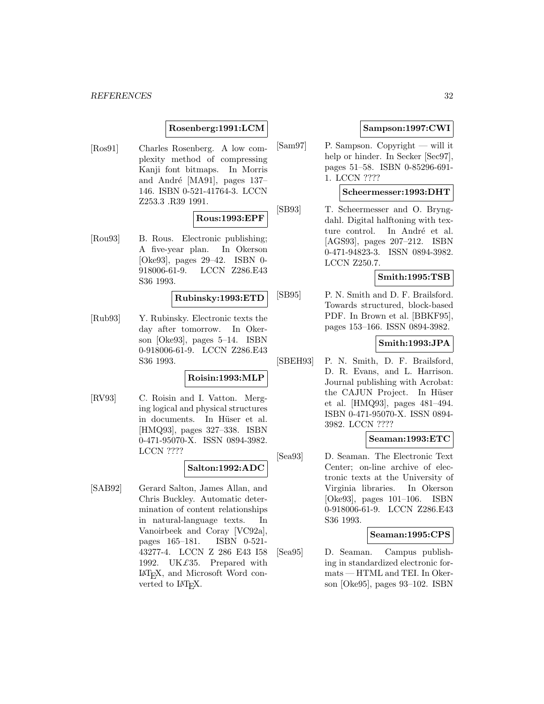### **Rosenberg:1991:LCM**

[Ros91] Charles Rosenberg. A low complexity method of compressing Kanji font bitmaps. In Morris and André [MA91], pages  $137-$ 146. ISBN 0-521-41764-3. LCCN Z253.3 .R39 1991.

### **Rous:1993:EPF**

[Rou93] B. Rous. Electronic publishing; A five-year plan. In Okerson [Oke93], pages 29–42. ISBN 0- 918006-61-9. LCCN Z286.E43 S36 1993.

### **Rubinsky:1993:ETD**

[Rub93] Y. Rubinsky. Electronic texts the day after tomorrow. In Okerson [Oke93], pages 5–14. ISBN 0-918006-61-9. LCCN Z286.E43 S36 1993.

### **Roisin:1993:MLP**

[RV93] C. Roisin and I. Vatton. Merging logical and physical structures in documents. In Hüser et al. [HMQ93], pages 327–338. ISBN 0-471-95070-X. ISSN 0894-3982. LCCN ????

# **Salton:1992:ADC**

[SAB92] Gerard Salton, James Allan, and Chris Buckley. Automatic determination of content relationships in natural-language texts. In Vanoirbeek and Coray [VC92a], pages 165–181. ISBN 0-521- 43277-4. LCCN Z 286 E43 I58 1992. UK£35. Prepared with LaTEX, and Microsoft Word converted to  $\text{LAT}$ <sub>F</sub>X.

### **Sampson:1997:CWI**

[Sam97] P. Sampson. Copyright — will it help or hinder. In Secker [Sec97], pages 51–58. ISBN 0-85296-691- 1. LCCN ????

#### **Scheermesser:1993:DHT**

[SB93] T. Scheermesser and O. Bryngdahl. Digital halftoning with texture control. In André et al. [AGS93], pages 207–212. ISBN 0-471-94823-3. ISSN 0894-3982. LCCN Z250.7.

## **Smith:1995:TSB**

[SB95] P. N. Smith and D. F. Brailsford. Towards structured, block-based PDF. In Brown et al. [BBKF95], pages 153–166. ISSN 0894-3982.

#### **Smith:1993:JPA**

[SBEH93] P. N. Smith, D. F. Brailsford, D. R. Evans, and L. Harrison. Journal publishing with Acrobat: the CAJUN Project. In Hüser et al. [HMQ93], pages 481–494. ISBN 0-471-95070-X. ISSN 0894- 3982. LCCN ????

#### **Seaman:1993:ETC**

[Sea93] D. Seaman. The Electronic Text Center; on-line archive of electronic texts at the University of Virginia libraries. In Okerson [Oke93], pages 101–106. ISBN 0-918006-61-9. LCCN Z286.E43 S36 1993.

#### **Seaman:1995:CPS**

[Sea95] D. Seaman. Campus publishing in standardized electronic formats — HTML and TEI. In Okerson [Oke95], pages 93–102. ISBN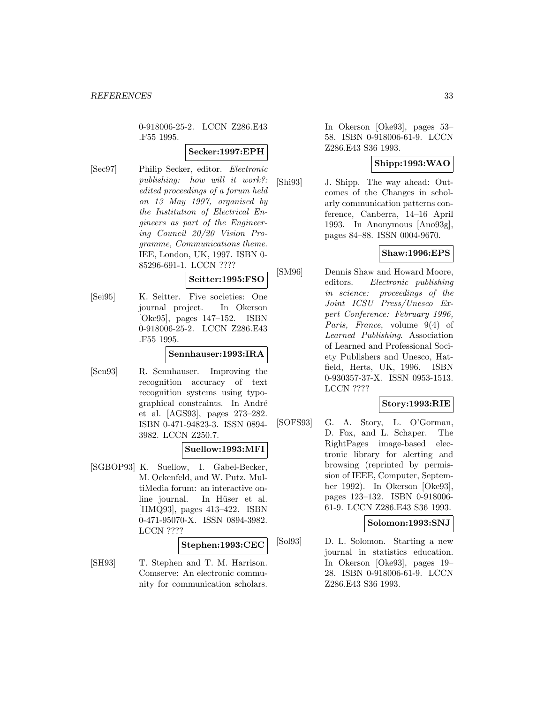0-918006-25-2. LCCN Z286.E43 .F55 1995.

### **Secker:1997:EPH**

[Sec97] Philip Secker, editor. Electronic publishing: how will it work?: edited proceedings of a forum held on 13 May 1997, organised by the Institution of Electrical Engineers as part of the Engineering Council 20/20 Vision Programme, Communications theme. IEE, London, UK, 1997. ISBN 0- 85296-691-1. LCCN ????

### **Seitter:1995:FSO**

[Sei95] K. Seitter. Five societies: One journal project. In Okerson [Oke95], pages 147–152. ISBN 0-918006-25-2. LCCN Z286.E43 .F55 1995.

### **Sennhauser:1993:IRA**

[Sen93] R. Sennhauser. Improving the recognition accuracy of text recognition systems using typographical constraints. In André et al. [AGS93], pages 273–282. ISBN 0-471-94823-3. ISSN 0894- 3982. LCCN Z250.7.

### **Suellow:1993:MFI**

[SGBOP93] K. Suellow, I. Gabel-Becker, M. Ockenfeld, and W. Putz. MultiMedia forum: an interactive online journal. In Hüser et al. [HMQ93], pages 413–422. ISBN 0-471-95070-X. ISSN 0894-3982. LCCN ????

### **Stephen:1993:CEC**

[SH93] T. Stephen and T. M. Harrison. Comserve: An electronic community for communication scholars.

In Okerson [Oke93], pages 53– 58. ISBN 0-918006-61-9. LCCN Z286.E43 S36 1993.

## **Shipp:1993:WAO**

[Shi93] J. Shipp. The way ahead: Outcomes of the Changes in scholarly communication patterns conference, Canberra, 14–16 April 1993. In Anonymous [Ano93g], pages 84–88. ISSN 0004-9670.

### **Shaw:1996:EPS**

[SM96] Dennis Shaw and Howard Moore, editors. Electronic publishing in science: proceedings of the Joint ICSU Press/Unesco Expert Conference: February 1996, Paris, France, volume 9(4) of Learned Publishing. Association of Learned and Professional Society Publishers and Unesco, Hatfield, Herts, UK, 1996. ISBN 0-930357-37-X. ISSN 0953-1513. LCCN ????

# **Story:1993:RIE**

[SOFS93] G. A. Story, L. O'Gorman, D. Fox, and L. Schaper. The RightPages image-based electronic library for alerting and browsing (reprinted by permission of IEEE, Computer, September 1992). In Okerson [Oke93], pages 123–132. ISBN 0-918006- 61-9. LCCN Z286.E43 S36 1993.

### **Solomon:1993:SNJ**

[Sol93] D. L. Solomon. Starting a new journal in statistics education. In Okerson [Oke93], pages 19– 28. ISBN 0-918006-61-9. LCCN Z286.E43 S36 1993.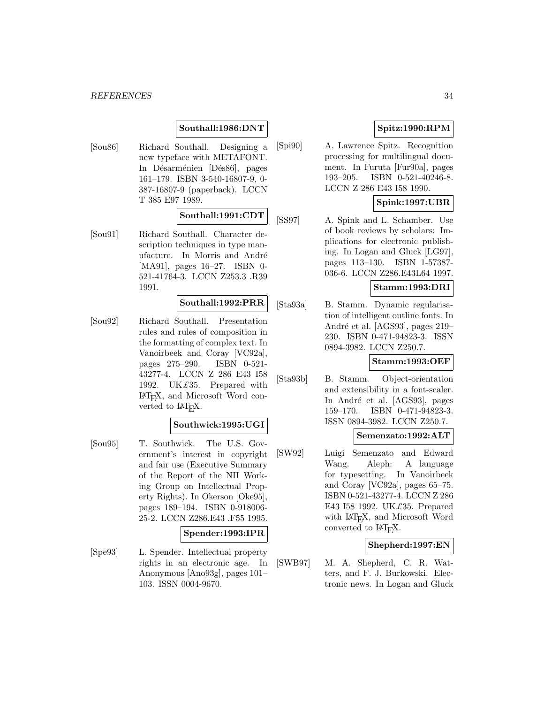# **Southall:1986:DNT**

[Sou86] Richard Southall. Designing a new typeface with METAFONT. In Désarménien [Dés86], pages 161–179. ISBN 3-540-16807-9, 0- 387-16807-9 (paperback). LCCN T 385 E97 1989.

## **Southall:1991:CDT**

[Sou91] Richard Southall. Character description techniques in type manufacture. In Morris and André [MA91], pages 16–27. ISBN 0- 521-41764-3. LCCN Z253.3 .R39 1991.

#### **Southall:1992:PRR**

[Sou92] Richard Southall. Presentation rules and rules of composition in the formatting of complex text. In Vanoirbeek and Coray [VC92a], pages 275–290. ISBN 0-521- 43277-4. LCCN Z 286 E43 I58 1992. UK $£35$ . Prepared with LaTEX, and Microsoft Word converted to  $\text{LFT}_F X$ .

### **Southwick:1995:UGI**

[Sou95] T. Southwick. The U.S. Government's interest in copyright and fair use (Executive Summary of the Report of the NII Working Group on Intellectual Property Rights). In Okerson [Oke95], pages 189–194. ISBN 0-918006- 25-2. LCCN Z286.E43 .F55 1995.

#### **Spender:1993:IPR**

[Spe93] L. Spender. Intellectual property rights in an electronic age. In Anonymous [Ano93g], pages 101– 103. ISSN 0004-9670.

# **Spitz:1990:RPM**

[Spi90] A. Lawrence Spitz. Recognition processing for multilingual document. In Furuta [Fur90a], pages 193–205. ISBN 0-521-40246-8. LCCN Z 286 E43 I58 1990.

### **Spink:1997:UBR**

[SS97] A. Spink and L. Schamber. Use of book reviews by scholars: Implications for electronic publishing. In Logan and Gluck [LG97], pages 113–130. ISBN 1-57387- 036-6. LCCN Z286.E43L64 1997.

### **Stamm:1993:DRI**

[Sta93a] B. Stamm. Dynamic regularisation of intelligent outline fonts. In André et al. [AGS93], pages 219– 230. ISBN 0-471-94823-3. ISSN 0894-3982. LCCN Z250.7.

# **Stamm:1993:OEF**

[Sta93b] B. Stamm. Object-orientation and extensibility in a font-scaler. In André et al. [AGS93], pages 159–170. ISBN 0-471-94823-3. ISSN 0894-3982. LCCN Z250.7.

#### **Semenzato:1992:ALT**

[SW92] Luigi Semenzato and Edward Wang. Aleph: A language for typesetting. In Vanoirbeek and Coray [VC92a], pages 65–75. ISBN 0-521-43277-4. LCCN Z 286 E43 I58 1992. UK£35. Prepared with LAT<sub>E</sub>X, and Microsoft Word converted to  $IAT$ <sub>E</sub>X.

### **Shepherd:1997:EN**

[SWB97] M. A. Shepherd, C. R. Watters, and F. J. Burkowski. Electronic news. In Logan and Gluck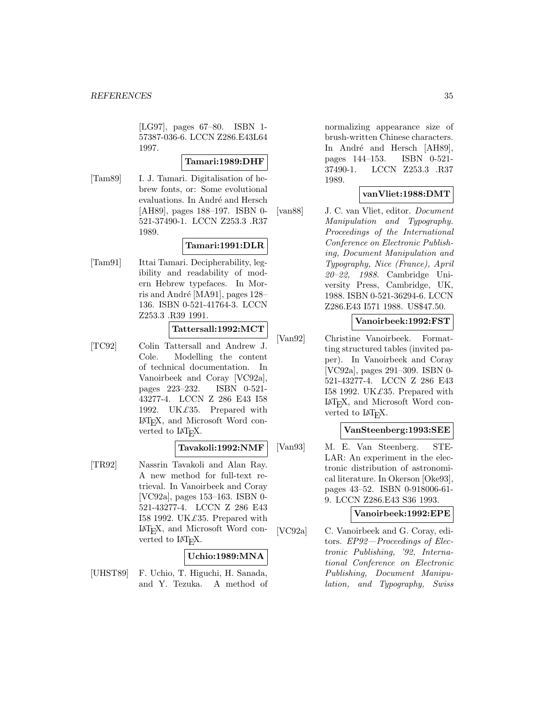[LG97], pages 67–80. ISBN 1- 57387-036-6. LCCN Z286.E43L64 1997.

### **Tamari:1989:DHF**

[Tam89] I. J. Tamari. Digitalisation of hebrew fonts, or: Some evolutional evaluations. In André and Hersch [AH89], pages 188–197. ISBN 0- 521-37490-1. LCCN Z253.3 .R37 1989.

# **Tamari:1991:DLR**

[Tam91] Ittai Tamari. Decipherability, legibility and readability of modern Hebrew typefaces. In Morris and André [MA91], pages  $128-$ 136. ISBN 0-521-41764-3. LCCN Z253.3 .R39 1991.

### **Tattersall:1992:MCT**

[TC92] Colin Tattersall and Andrew J. Cole. Modelling the content of technical documentation. In Vanoirbeek and Coray [VC92a], pages 223–232. ISBN 0-521- 43277-4. LCCN Z 286 E43 I58 1992. UK $£35$ . Prepared with LaTEX, and Microsoft Word converted to  $\text{LAT}$ <sub>EX</sub>.

### **Tavakoli:1992:NMF**

[TR92] Nassrin Tavakoli and Alan Ray. A new method for full-text retrieval. In Vanoirbeek and Coray [VC92a], pages 153–163. ISBN 0- 521-43277-4. LCCN Z 286 E43 I58 1992. UK $\pounds$ 35. Prepared with LaTEX, and Microsoft Word converted to  $\text{LAT}$ <sub>EX</sub>.

## **Uchio:1989:MNA**

[UHST89] F. Uchio, T. Higuchi, H. Sanada, and Y. Tezuka. A method of normalizing appearance size of brush-written Chinese characters. In André and Hersch [AH89], pages 144–153. ISBN 0-521- 37490-1. LCCN Z253.3 .R37 1989.

### **vanVliet:1988:DMT**

[van88] J. C. van Vliet, editor. Document Manipulation and Typography. Proceedings of the International Conference on Electronic Publishing, Document Manipulation and Typography, Nice (France), April 20–22, 1988. Cambridge University Press, Cambridge, UK, 1988. ISBN 0-521-36294-6. LCCN Z286.E43 I571 1988. US\$47.50.

### **Vanoirbeek:1992:FST**

[Van92] Christine Vanoirbeek. Formatting structured tables (invited paper). In Vanoirbeek and Coray [VC92a], pages 291–309. ISBN 0- 521-43277-4. LCCN Z 286 E43 I58 1992. UK $\pounds$ 35. Prepared with LaTEX, and Microsoft Word converted to LAT<sub>E</sub>X.

### **VanSteenberg:1993:SEE**

[Van93] M. E. Van Steenberg. STE-LAR: An experiment in the electronic distribution of astronomical literature. In Okerson [Oke93], pages 43–52. ISBN 0-918006-61- 9. LCCN Z286.E43 S36 1993.

### **Vanoirbeek:1992:EPE**

[VC92a] C. Vanoirbeek and G. Coray, editors. EP92—Proceedings of Electronic Publishing, '92, International Conference on Electronic Publishing, Document Manipulation, and Typography, Swiss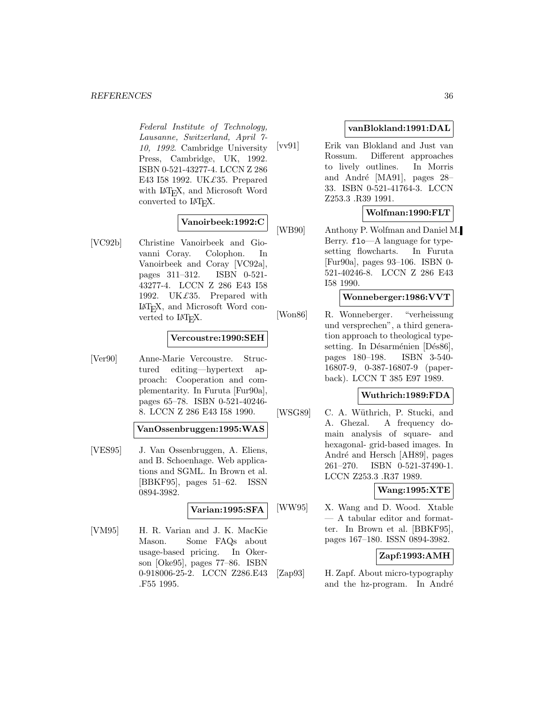Federal Institute of Technology, Lausanne, Switzerland, April 7- 10, 1992. Cambridge University Press, Cambridge, UK, 1992. ISBN 0-521-43277-4. LCCN Z 286 E43 I58 1992. UK£35. Prepared with IAT<sub>E</sub>X, and Microsoft Word converted to  $LAT$ <sub>EX</sub>.

# **Vanoirbeek:1992:C**

[VC92b] Christine Vanoirbeek and Giovanni Coray. Colophon. In Vanoirbeek and Coray [VC92a], pages 311–312. ISBN 0-521- 43277-4. LCCN Z 286 E43 I58 1992. UK£35. Prepared with LaTEX, and Microsoft Word converted to L<sup>AT</sup><sub>E</sub>X.

### **Vercoustre:1990:SEH**

[Ver90] Anne-Marie Vercoustre. Structured editing—hypertext approach: Cooperation and complementarity. In Furuta [Fur90a], pages 65–78. ISBN 0-521-40246- 8. LCCN Z 286 E43 I58 1990.

### **VanOssenbruggen:1995:WAS**

[VES95] J. Van Ossenbruggen, A. Eliens, and B. Schoenhage. Web applications and SGML. In Brown et al. [BBKF95], pages 51–62. ISSN 0894-3982.

### **Varian:1995:SFA**

[VM95] H. R. Varian and J. K. MacKie Mason. Some FAQs about usage-based pricing. In Okerson [Oke95], pages 77–86. ISBN 0-918006-25-2. LCCN Z286.E43 .F55 1995.

### **vanBlokland:1991:DAL**

[vv91] Erik van Blokland and Just van Rossum. Different approaches to lively outlines. In Morris and André [MA91], pages  $28-$ 33. ISBN 0-521-41764-3. LCCN Z253.3 .R39 1991.

# **Wolfman:1990:FLT**

[WB90] Anthony P. Wolfman and Daniel M. Berry. flo—A language for typesetting flowcharts. In Furuta [Fur90a], pages 93–106. ISBN 0- 521-40246-8. LCCN Z 286 E43 I58 1990.

### **Wonneberger:1986:VVT**

[Won86] R. Wonneberger. "verheissung und versprechen", a third generation approach to theological typesetting. In Désarménien [Dés86], pages 180–198. ISBN 3-540- 16807-9, 0-387-16807-9 (paperback). LCCN T 385 E97 1989.

# **Wuthrich:1989:FDA**

[WSG89] C. A. Wüthrich, P. Stucki, and A. Ghezal. A frequency domain analysis of square- and hexagonal- grid-based images. In André and Hersch [AH89], pages 261–270. ISBN 0-521-37490-1. LCCN Z253.3 .R37 1989.

### **Wang:1995:XTE**

[WW95] X. Wang and D. Wood. Xtable — A tabular editor and formatter. In Brown et al. [BBKF95], pages 167–180. ISSN 0894-3982.

# **Zapf:1993:AMH**

[Zap93] H. Zapf. About micro-typography and the hz-program. In André